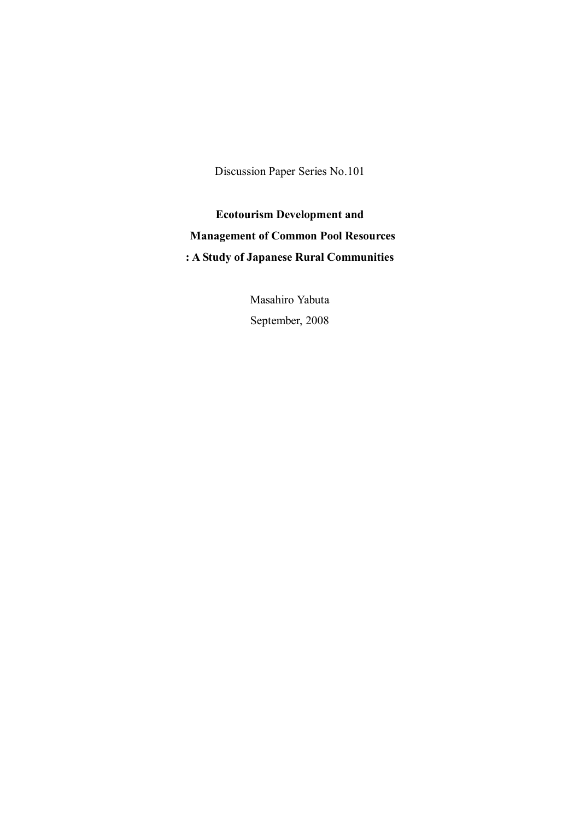Discussion Paper Series No.101

**Ecotourism Development and Management of Common Pool Resources : A Study of Japanese Rural Communities** 

> Masahiro Yabuta September, 2008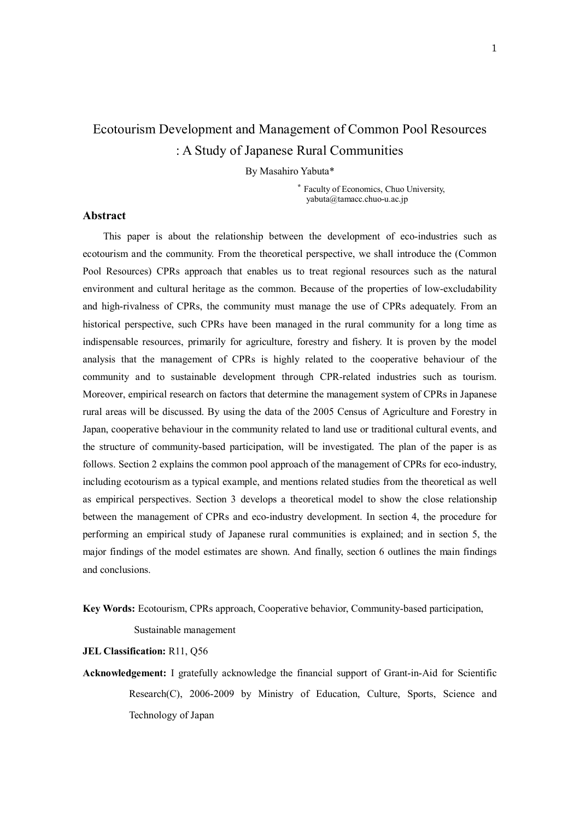# Ecotourism Development and Management of Common Pool Resources : A Study of Japanese Rural Communities

By Masahiro Yabuta\*

\* Faculty of Economics, Chuo University, yabuta@tamacc.chuo-u.ac.jp

# **Abstract**

 This paper is about the relationship between the development of eco-industries such as ecotourism and the community. From the theoretical perspective, we shall introduce the (Common Pool Resources) CPRs approach that enables us to treat regional resources such as the natural environment and cultural heritage as the common. Because of the properties of low-excludability and high-rivalness of CPRs, the community must manage the use of CPRs adequately. From an historical perspective, such CPRs have been managed in the rural community for a long time as indispensable resources, primarily for agriculture, forestry and fishery. It is proven by the model analysis that the management of CPRs is highly related to the cooperative behaviour of the community and to sustainable development through CPR-related industries such as tourism. Moreover, empirical research on factors that determine the management system of CPRs in Japanese rural areas will be discussed. By using the data of the 2005 Census of Agriculture and Forestry in Japan, cooperative behaviour in the community related to land use or traditional cultural events, and the structure of community-based participation, will be investigated. The plan of the paper is as follows. Section 2 explains the common pool approach of the management of CPRs for eco-industry, including ecotourism as a typical example, and mentions related studies from the theoretical as well as empirical perspectives. Section 3 develops a theoretical model to show the close relationship between the management of CPRs and eco-industry development. In section 4, the procedure for performing an empirical study of Japanese rural communities is explained; and in section 5, the major findings of the model estimates are shown. And finally, section 6 outlines the main findings and conclusions.

**Key Words:** Ecotourism, CPRs approach, Cooperative behavior, Community-based participation,

Sustainable management

#### **JEL Classification:** R11, Q56

**Acknowledgement:** I gratefully acknowledge the financial support of Grant-in-Aid for Scientific Research(C), 2006-2009 by Ministry of Education, Culture, Sports, Science and Technology of Japan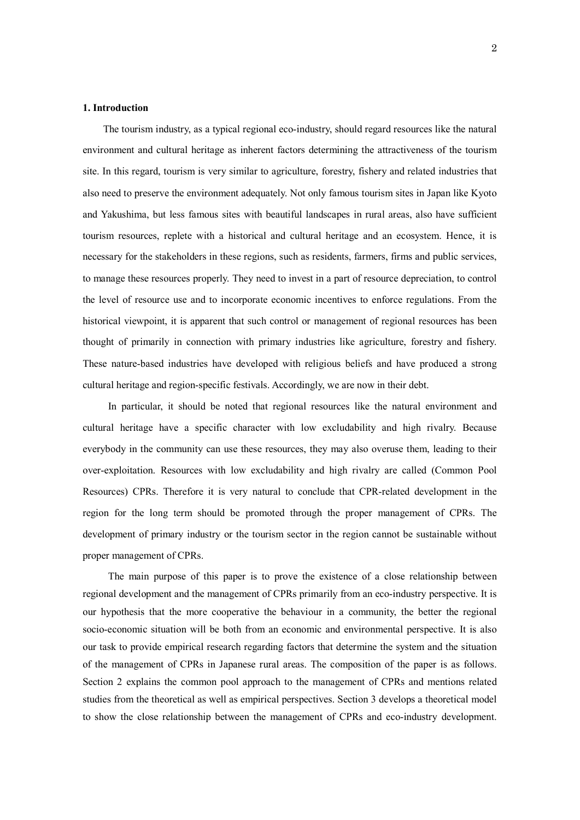# **1. Introduction**

 The tourism industry, as a typical regional eco-industry, should regard resources like the natural environment and cultural heritage as inherent factors determining the attractiveness of the tourism site. In this regard, tourism is very similar to agriculture, forestry, fishery and related industries that also need to preserve the environment adequately. Not only famous tourism sites in Japan like Kyoto and Yakushima, but less famous sites with beautiful landscapes in rural areas, also have sufficient tourism resources, replete with a historical and cultural heritage and an ecosystem. Hence, it is necessary for the stakeholders in these regions, such as residents, farmers, firms and public services, to manage these resources properly. They need to invest in a part of resource depreciation, to control the level of resource use and to incorporate economic incentives to enforce regulations. From the historical viewpoint, it is apparent that such control or management of regional resources has been thought of primarily in connection with primary industries like agriculture, forestry and fishery. These nature-based industries have developed with religious beliefs and have produced a strong cultural heritage and region-specific festivals. Accordingly, we are now in their debt.

In particular, it should be noted that regional resources like the natural environment and cultural heritage have a specific character with low excludability and high rivalry. Because everybody in the community can use these resources, they may also overuse them, leading to their over-exploitation. Resources with low excludability and high rivalry are called (Common Pool Resources) CPRs. Therefore it is very natural to conclude that CPR-related development in the region for the long term should be promoted through the proper management of CPRs. The development of primary industry or the tourism sector in the region cannot be sustainable without proper management of CPRs.

The main purpose of this paper is to prove the existence of a close relationship between regional development and the management of CPRs primarily from an eco-industry perspective. It is our hypothesis that the more cooperative the behaviour in a community, the better the regional socio-economic situation will be both from an economic and environmental perspective. It is also our task to provide empirical research regarding factors that determine the system and the situation of the management of CPRs in Japanese rural areas. The composition of the paper is as follows. Section 2 explains the common pool approach to the management of CPRs and mentions related studies from the theoretical as well as empirical perspectives. Section 3 develops a theoretical model to show the close relationship between the management of CPRs and eco-industry development.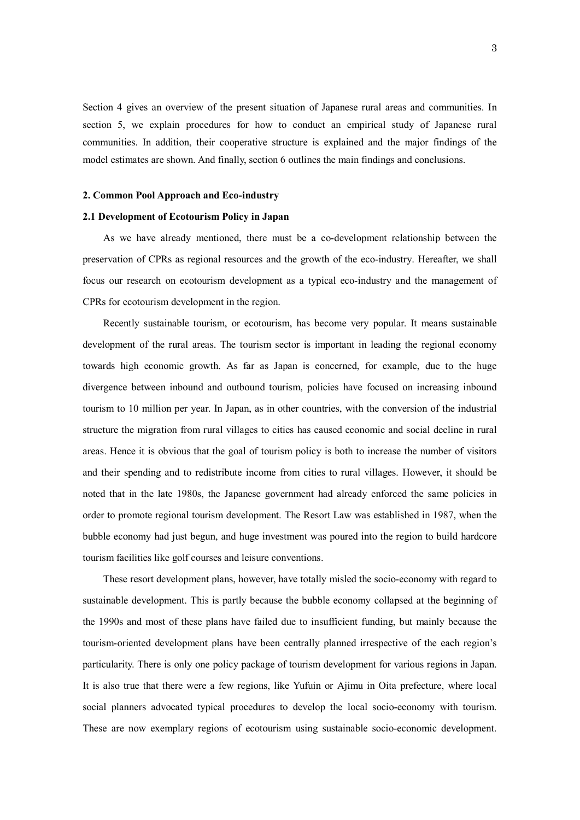Section 4 gives an overview of the present situation of Japanese rural areas and communities. In section 5, we explain procedures for how to conduct an empirical study of Japanese rural communities. In addition, their cooperative structure is explained and the major findings of the model estimates are shown. And finally, section 6 outlines the main findings and conclusions.

# **2. Common Pool Approach and Eco-industry**

### **2.1 Development of Ecotourism Policy in Japan**

As we have already mentioned, there must be a co-development relationship between the preservation of CPRs as regional resources and the growth of the eco-industry. Hereafter, we shall focus our research on ecotourism development as a typical eco-industry and the management of CPRs for ecotourism development in the region.

Recently sustainable tourism, or ecotourism, has become very popular. It means sustainable development of the rural areas. The tourism sector is important in leading the regional economy towards high economic growth. As far as Japan is concerned, for example, due to the huge divergence between inbound and outbound tourism, policies have focused on increasing inbound tourism to 10 million per year. In Japan, as in other countries, with the conversion of the industrial structure the migration from rural villages to cities has caused economic and social decline in rural areas. Hence it is obvious that the goal of tourism policy is both to increase the number of visitors and their spending and to redistribute income from cities to rural villages. However, it should be noted that in the late 1980s, the Japanese government had already enforced the same policies in order to promote regional tourism development. The Resort Law was established in 1987, when the bubble economy had just begun, and huge investment was poured into the region to build hardcore tourism facilities like golf courses and leisure conventions.

These resort development plans, however, have totally misled the socio-economy with regard to sustainable development. This is partly because the bubble economy collapsed at the beginning of the 1990s and most of these plans have failed due to insufficient funding, but mainly because the tourism-oriented development plans have been centrally planned irrespective of the each region's particularity. There is only one policy package of tourism development for various regions in Japan. It is also true that there were a few regions, like Yufuin or Ajimu in Oita prefecture, where local social planners advocated typical procedures to develop the local socio-economy with tourism. These are now exemplary regions of ecotourism using sustainable socio-economic development.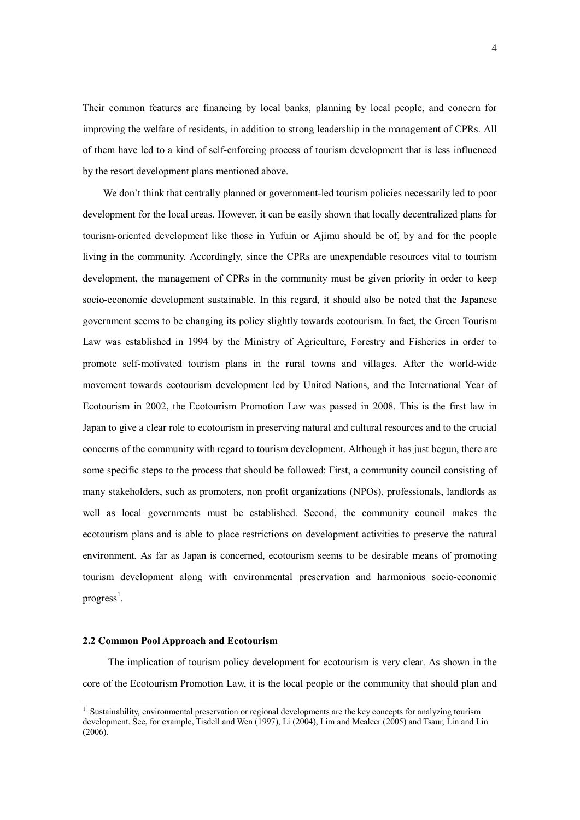Their common features are financing by local banks, planning by local people, and concern for improving the welfare of residents, in addition to strong leadership in the management of CPRs. All of them have led to a kind of self-enforcing process of tourism development that is less influenced by the resort development plans mentioned above.

We don't think that centrally planned or government-led tourism policies necessarily led to poor development for the local areas. However, it can be easily shown that locally decentralized plans for tourism-oriented development like those in Yufuin or Ajimu should be of, by and for the people living in the community. Accordingly, since the CPRs are unexpendable resources vital to tourism development, the management of CPRs in the community must be given priority in order to keep socio-economic development sustainable. In this regard, it should also be noted that the Japanese government seems to be changing its policy slightly towards ecotourism. In fact, the Green Tourism Law was established in 1994 by the Ministry of Agriculture, Forestry and Fisheries in order to promote self-motivated tourism plans in the rural towns and villages. After the world-wide movement towards ecotourism development led by United Nations, and the International Year of Ecotourism in 2002, the Ecotourism Promotion Law was passed in 2008. This is the first law in Japan to give a clear role to ecotourism in preserving natural and cultural resources and to the crucial concerns of the community with regard to tourism development. Although it has just begun, there are some specific steps to the process that should be followed: First, a community council consisting of many stakeholders, such as promoters, non profit organizations (NPOs), professionals, landlords as well as local governments must be established. Second, the community council makes the ecotourism plans and is able to place restrictions on development activities to preserve the natural environment. As far as Japan is concerned, ecotourism seems to be desirable means of promoting tourism development along with environmental preservation and harmonious socio-economic progress<sup>1</sup>.

# **2.2 Common Pool Approach and Ecotourism**

 $\overline{a}$ 

The implication of tourism policy development for ecotourism is very clear. As shown in the core of the Ecotourism Promotion Law, it is the local people or the community that should plan and

<sup>&</sup>lt;sup>1</sup> Sustainability, environmental preservation or regional developments are the key concepts for analyzing tourism development. See, for example, Tisdell and Wen (1997), Li (2004), Lim and Mcaleer (2005) and Tsaur, Lin and Lin (2006).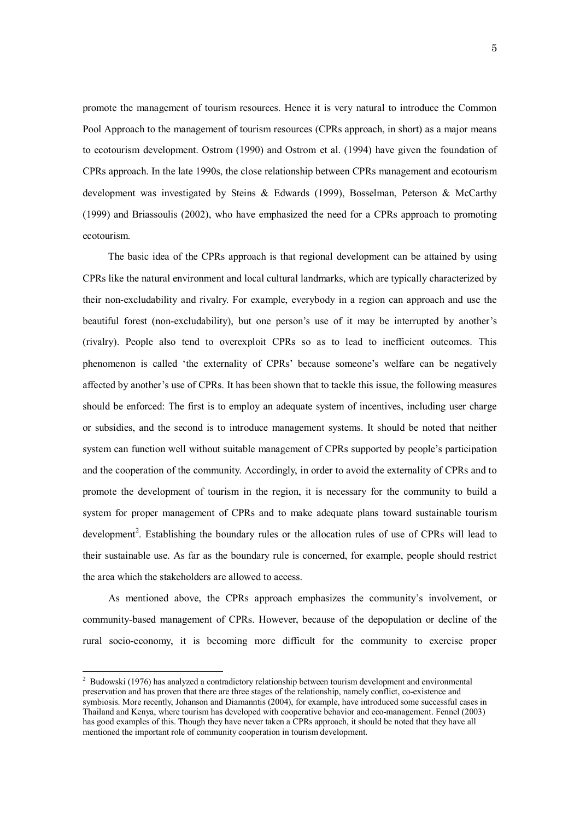promote the management of tourism resources. Hence it is very natural to introduce the Common Pool Approach to the management of tourism resources (CPRs approach, in short) as a major means to ecotourism development. Ostrom (1990) and Ostrom et al. (1994) have given the foundation of CPRs approach. In the late 1990s, the close relationship between CPRs management and ecotourism development was investigated by Steins & Edwards (1999), Bosselman, Peterson & McCarthy (1999) and Briassoulis (2002), who have emphasized the need for a CPRs approach to promoting ecotourism.

The basic idea of the CPRs approach is that regional development can be attained by using CPRs like the natural environment and local cultural landmarks, which are typically characterized by their non-excludability and rivalry. For example, everybody in a region can approach and use the beautiful forest (non-excludability), but one person's use of it may be interrupted by another's (rivalry). People also tend to overexploit CPRs so as to lead to inefficient outcomes. This phenomenon is called 'the externality of CPRs' because someone's welfare can be negatively affected by another's use of CPRs. It has been shown that to tackle this issue, the following measures should be enforced: The first is to employ an adequate system of incentives, including user charge or subsidies, and the second is to introduce management systems. It should be noted that neither system can function well without suitable management of CPRs supported by people's participation and the cooperation of the community. Accordingly, in order to avoid the externality of CPRs and to promote the development of tourism in the region, it is necessary for the community to build a system for proper management of CPRs and to make adequate plans toward sustainable tourism development<sup>2</sup>. Establishing the boundary rules or the allocation rules of use of CPRs will lead to their sustainable use. As far as the boundary rule is concerned, for example, people should restrict the area which the stakeholders are allowed to access.

 As mentioned above, the CPRs approach emphasizes the community's involvement, or community-based management of CPRs. However, because of the depopulation or decline of the rural socio-economy, it is becoming more difficult for the community to exercise proper

<sup>&</sup>lt;sup>2</sup> Budowski (1976) has analyzed a contradictory relationship between tourism development and environmental preservation and has proven that there are three stages of the relationship, namely conflict, co-existence and symbiosis. More recently, Johanson and Diamanntis (2004), for example, have introduced some successful cases in Thailand and Kenya, where tourism has developed with cooperative behavior and eco-management. Fennel (2003) has good examples of this. Though they have never taken a CPRs approach, it should be noted that they have all mentioned the important role of community cooperation in tourism development.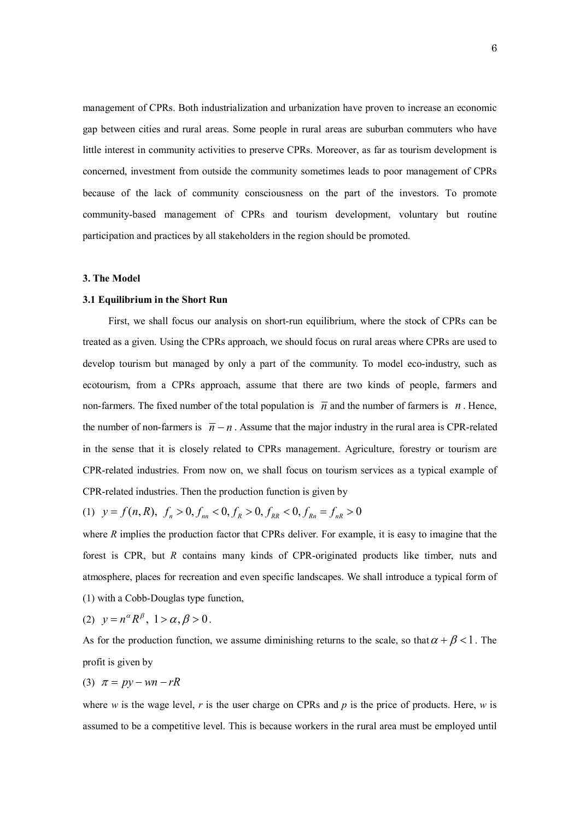management of CPRs. Both industrialization and urbanization have proven to increase an economic gap between cities and rural areas. Some people in rural areas are suburban commuters who have little interest in community activities to preserve CPRs. Moreover, as far as tourism development is concerned, investment from outside the community sometimes leads to poor management of CPRs because of the lack of community consciousness on the part of the investors. To promote community-based management of CPRs and tourism development, voluntary but routine participation and practices by all stakeholders in the region should be promoted.

## **3. The Model**

#### **3.1 Equilibrium in the Short Run**

 First, we shall focus our analysis on short-run equilibrium, where the stock of CPRs can be treated as a given. Using the CPRs approach, we should focus on rural areas where CPRs are used to develop tourism but managed by only a part of the community. To model eco-industry, such as ecotourism, from a CPRs approach, assume that there are two kinds of people, farmers and non-farmers. The fixed number of the total population is  $\bar{n}$  and the number of farmers is *n*. Hence, the number of non-farmers is  $\bar{n} - n$ . Assume that the major industry in the rural area is CPR-related in the sense that it is closely related to CPRs management. Agriculture, forestry or tourism are CPR-related industries. From now on, we shall focus on tourism services as a typical example of CPR-related industries. Then the production function is given by

(1)  $y = f(n, R), f_n > 0, f_{nn} < 0, f_R > 0, f_{RR} < 0, f_{kn} = f_{nR} > 0$ 

where *R* implies the production factor that CPRs deliver. For example, it is easy to imagine that the forest is CPR, but *R* contains many kinds of CPR-originated products like timber, nuts and atmosphere, places for recreation and even specific landscapes. We shall introduce a typical form of (1) with a Cobb-Douglas type function,

(2) 
$$
y = n^{\alpha} R^{\beta}, 1 > \alpha, \beta > 0.
$$

As for the production function, we assume diminishing returns to the scale, so that  $\alpha + \beta < 1$ . The profit is given by

$$
(3) \ \pi = py - wn - rR
$$

where *w* is the wage level,  $r$  is the user charge on CPRs and  $p$  is the price of products. Here,  $w$  is assumed to be a competitive level. This is because workers in the rural area must be employed until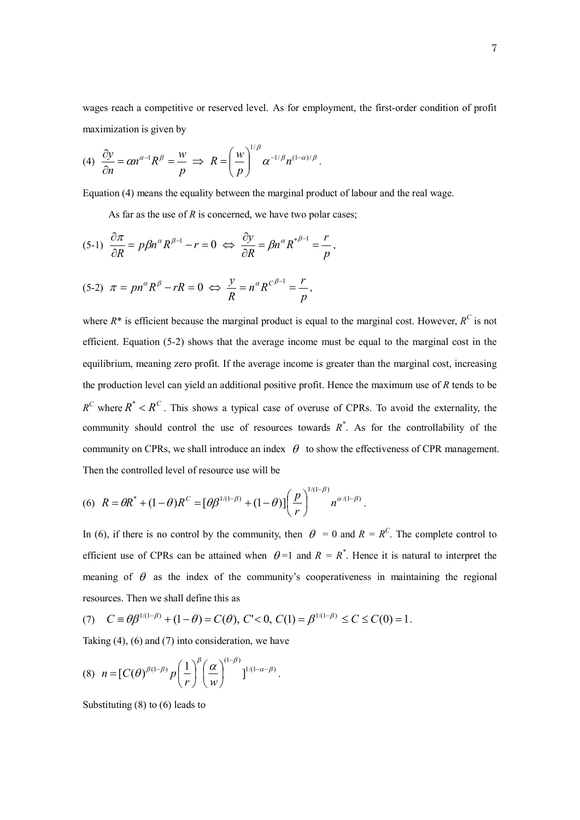wages reach a competitive or reserved level. As for employment, the first-order condition of profit maximization is given by

(4) 
$$
\frac{\partial y}{\partial n} = \alpha n^{\alpha - 1} R^{\beta} = \frac{w}{p} \implies R = \left(\frac{w}{p}\right)^{1/\beta} \alpha^{-1/\beta} n^{(1-\alpha)/\beta}.
$$

Equation (4) means the equality between the marginal product of labour and the real wage.

As far as the use of *R* is concerned, we have two polar cases;

$$
(5-1)\ \frac{\partial \pi}{\partial R} = p\beta n^{\alpha} R^{\beta-1} - r = 0 \ \Leftrightarrow \ \frac{\partial y}{\partial R} = \beta n^{\alpha} R^{*\beta-1} = \frac{r}{p},
$$

$$
(5-2) \ \pi = pn^{\alpha}R^{\beta} - rR = 0 \ \Leftrightarrow \ \frac{y}{R} = n^{\alpha}R^{C^{\beta-1}} = \frac{r}{p},
$$

where  $R^*$  is efficient because the marginal product is equal to the marginal cost. However,  $R^C$  is not efficient. Equation (5-2) shows that the average income must be equal to the marginal cost in the equilibrium, meaning zero profit. If the average income is greater than the marginal cost, increasing the production level can yield an additional positive profit. Hence the maximum use of *R* tends to be  $R^C$  where  $R^* < R^C$ . This shows a typical case of overuse of CPRs. To avoid the externality, the community should control the use of resources towards  $R^*$ . As for the controllability of the community on CPRs, we shall introduce an index  $\theta$  to show the effectiveness of CPR management. Then the controlled level of resource use will be

(6) 
$$
R = \theta R^* + (1 - \theta)R^C = [\theta \beta^{1/(1-\beta)} + (1-\theta)] \left(\frac{p}{r}\right)^{1/(1-\beta)} n^{\alpha/(1-\beta)}
$$
.

In (6), if there is no control by the community, then  $\theta = 0$  and  $R = R^C$ . The complete control to efficient use of CPRs can be attained when  $\theta = 1$  and  $R = R^*$ . Hence it is natural to interpret the meaning of  $\theta$  as the index of the community's cooperativeness in maintaining the regional resources. Then we shall define this as

(7) 
$$
C \equiv \theta \beta^{1/(1-\beta)} + (1-\theta) = C(\theta), C' < 0, C(1) = \beta^{1/(1-\beta)} \le C \le C(0) = 1.
$$

Taking (4), (6) and (7) into consideration, we have

$$
(8) \ \ n = \left[C(\theta)^{\beta(1-\beta)} p\left(\frac{1}{r}\right)^{\beta}\left(\frac{\alpha}{w}\right)^{(1-\beta)}\right]^{1/(1-\alpha-\beta)}.
$$

Substituting (8) to (6) leads to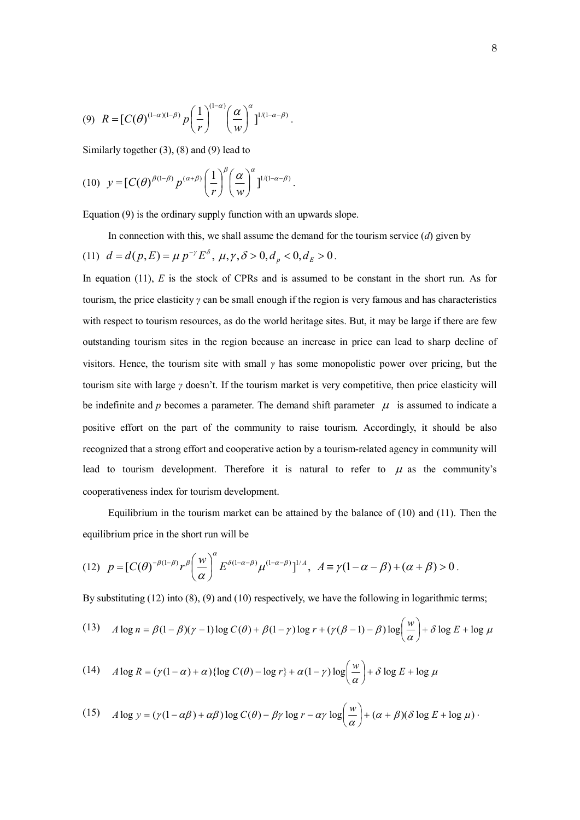$$
(9) \ \ R = \left[ C(\theta)^{(1-\alpha)(1-\beta)} p\left(\frac{1}{r}\right)^{(1-\alpha)} \left(\frac{\alpha}{w}\right)^{\alpha} \right]^{1/(1-\alpha-\beta)}.
$$

Similarly together (3), (8) and (9) lead to

$$
(10) \quad y = [C(\theta)^{\beta(1-\beta)} p^{(\alpha+\beta)} \left(\frac{1}{r}\right)^{\beta} \left(\frac{\alpha}{w}\right)^{\alpha}]^{1/(1-\alpha-\beta)}.
$$

Equation (9) is the ordinary supply function with an upwards slope.

In connection with this, we shall assume the demand for the tourism service (*d*) given by (11)  $d = d(p, E) = \mu p^{-\gamma} E^{\delta}, \mu, \gamma, \delta > 0, d_p < 0, d_E > 0.$ 

In equation (11), *E* is the stock of CPRs and is assumed to be constant in the short run. As for tourism, the price elasticity *γ* can be small enough if the region is very famous and has characteristics with respect to tourism resources, as do the world heritage sites. But, it may be large if there are few outstanding tourism sites in the region because an increase in price can lead to sharp decline of visitors. Hence, the tourism site with small *γ* has some monopolistic power over pricing, but the tourism site with large *γ* doesn't. If the tourism market is very competitive, then price elasticity will be indefinite and  $p$  becomes a parameter. The demand shift parameter  $\mu$  is assumed to indicate a positive effort on the part of the community to raise tourism. Accordingly, it should be also recognized that a strong effort and cooperative action by a tourism-related agency in community will lead to tourism development. Therefore it is natural to refer to  $\mu$  as the community's cooperativeness index for tourism development.

Equilibrium in the tourism market can be attained by the balance of (10) and (11). Then the equilibrium price in the short run will be

(12) 
$$
p = [C(\theta)^{-\beta(1-\beta)} r^{\beta} (\frac{w}{\alpha})^{\alpha} E^{\delta(1-\alpha-\beta)} \mu^{(1-\alpha-\beta)}]^{1/A}, A \equiv \gamma(1-\alpha-\beta) + (\alpha+\beta) > 0.
$$

By substituting (12) into (8), (9) and (10) respectively, we have the following in logarithmic terms;

(13) 
$$
A \log n = \beta(1-\beta)(\gamma-1)\log C(\theta) + \beta(1-\gamma)\log r + (\gamma(\beta-1)-\beta)\log\left(\frac{w}{\alpha}\right) + \delta \log E + \log \mu
$$

(14) 
$$
A \log R = (\gamma(1-\alpha) + \alpha) \{ \log C(\theta) - \log r \} + \alpha(1-\gamma) \log \left( \frac{w}{\alpha} \right) + \delta \log E + \log \mu
$$

(15) 
$$
A \log y = (\gamma (1 - \alpha \beta) + \alpha \beta) \log C(\theta) - \beta \gamma \log r - \alpha \gamma \log \left(\frac{w}{\alpha}\right) + (\alpha + \beta)(\delta \log E + \log \mu).
$$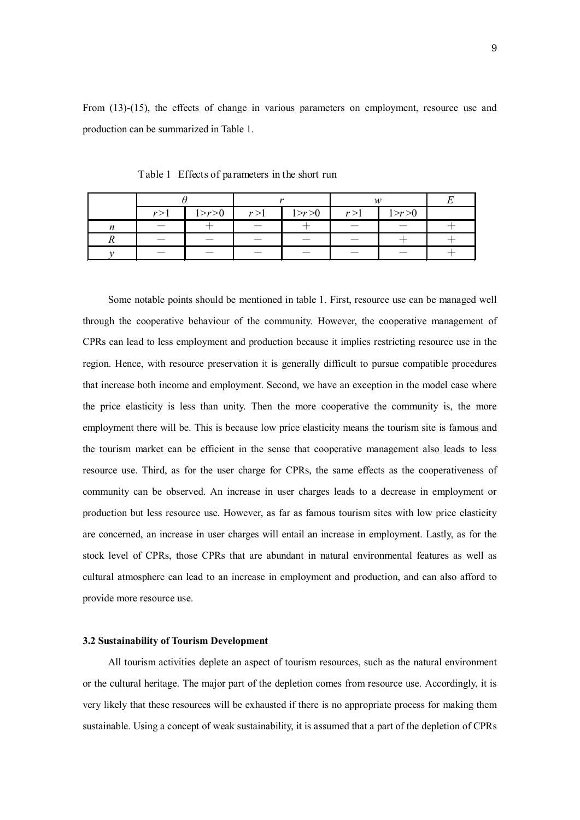From (13)-(15), the effects of change in various parameters on employment, resource use and production can be summarized in Table 1.

|     |           |       |           | 142   |           |  |
|-----|-----------|-------|-----------|-------|-----------|--|
| r>1 | 1 > r > 0 | r > 1 | 1 > r > 0 | r > 1 | 1 > r > 0 |  |
|     |           |       |           |       |           |  |
|     |           |       |           |       |           |  |
|     |           |       |           |       |           |  |

Table 1 Effects of parameters in the short run

Some notable points should be mentioned in table 1. First, resource use can be managed well through the cooperative behaviour of the community. However, the cooperative management of CPRs can lead to less employment and production because it implies restricting resource use in the region. Hence, with resource preservation it is generally difficult to pursue compatible procedures that increase both income and employment. Second, we have an exception in the model case where the price elasticity is less than unity. Then the more cooperative the community is, the more employment there will be. This is because low price elasticity means the tourism site is famous and the tourism market can be efficient in the sense that cooperative management also leads to less resource use. Third, as for the user charge for CPRs, the same effects as the cooperativeness of community can be observed. An increase in user charges leads to a decrease in employment or production but less resource use. However, as far as famous tourism sites with low price elasticity are concerned, an increase in user charges will entail an increase in employment. Lastly, as for the stock level of CPRs, those CPRs that are abundant in natural environmental features as well as cultural atmosphere can lead to an increase in employment and production, and can also afford to provide more resource use.

# **3.2 Sustainability of Tourism Development**

All tourism activities deplete an aspect of tourism resources, such as the natural environment or the cultural heritage. The major part of the depletion comes from resource use. Accordingly, it is very likely that these resources will be exhausted if there is no appropriate process for making them sustainable. Using a concept of weak sustainability, it is assumed that a part of the depletion of CPRs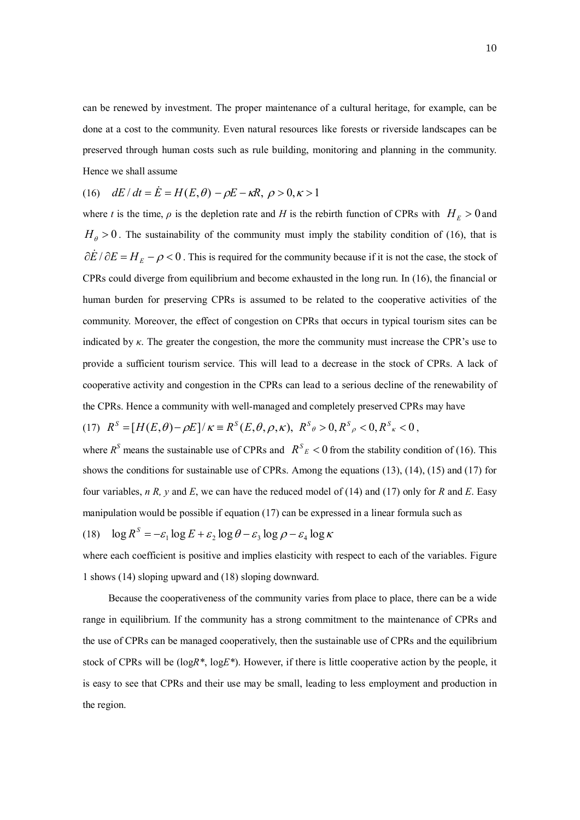can be renewed by investment. The proper maintenance of a cultural heritage, for example, can be done at a cost to the community. Even natural resources like forests or riverside landscapes can be preserved through human costs such as rule building, monitoring and planning in the community. Hence we shall assume

(16) 
$$
dE/dt = \dot{E} = H(E, \theta) - \rho E - \kappa R, \ \rho > 0, \kappa > 1
$$

where *t* is the time,  $\rho$  is the depletion rate and *H* is the rebirth function of CPRs with  $H_E > 0$  and  $H_{\theta} > 0$ . The sustainability of the community must imply the stability condition of (16), that is  $\partial \dot{E} / \partial E = H_E - \rho < 0$ . This is required for the community because if it is not the case, the stock of CPRs could diverge from equilibrium and become exhausted in the long run. In (16), the financial or human burden for preserving CPRs is assumed to be related to the cooperative activities of the community. Moreover, the effect of congestion on CPRs that occurs in typical tourism sites can be indicated by *κ*. The greater the congestion, the more the community must increase the CPR's use to provide a sufficient tourism service. This will lead to a decrease in the stock of CPRs. A lack of cooperative activity and congestion in the CPRs can lead to a serious decline of the renewability of the CPRs. Hence a community with well-managed and completely preserved CPRs may have

$$
(17) \ \ R^S = [H(E,\theta) - \rho E] / \kappa \equiv R^S(E,\theta,\rho,\kappa), \ \ R^S{}_{\theta} > 0, \ R^S{}_{\rho} < 0, \ R^S{}_{\kappa} < 0 \ ,
$$

where  $R^S$  means the sustainable use of CPRs and  $R^S{}_E$  < 0 from the stability condition of (16). This shows the conditions for sustainable use of CPRs. Among the equations (13), (14), (15) and (17) for four variables, *n R, y* and *E*, we can have the reduced model of (14) and (17) only for *R* and *E*. Easy manipulation would be possible if equation (17) can be expressed in a linear formula such as

(18) 
$$
\log R^S = -\varepsilon_1 \log E + \varepsilon_2 \log \theta - \varepsilon_3 \log \rho - \varepsilon_4 \log \kappa
$$

where each coefficient is positive and implies elasticity with respect to each of the variables. Figure 1 shows (14) sloping upward and (18) sloping downward.

 Because the cooperativeness of the community varies from place to place, there can be a wide range in equilibrium. If the community has a strong commitment to the maintenance of CPRs and the use of CPRs can be managed cooperatively, then the sustainable use of CPRs and the equilibrium stock of CPRs will be (log*R\**, log*E\**). However, if there is little cooperative action by the people, it is easy to see that CPRs and their use may be small, leading to less employment and production in the region.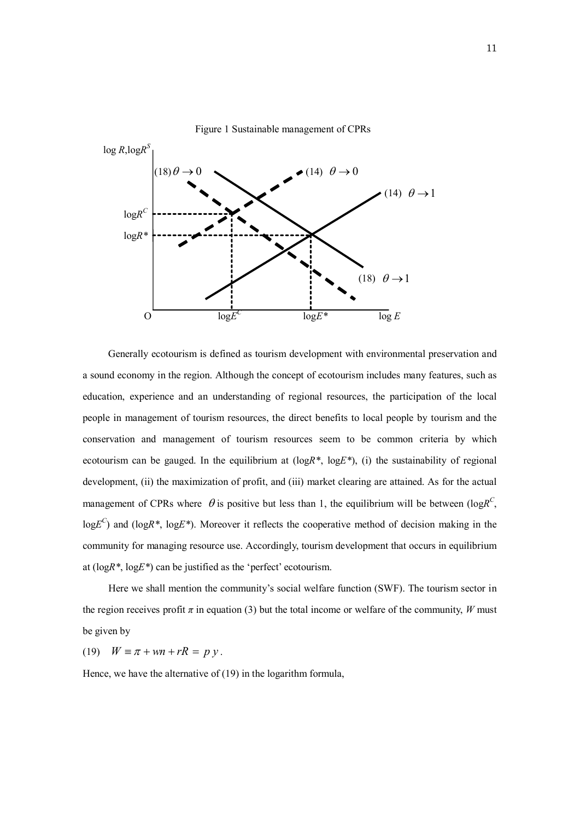

Figure 1 Sustainable management of CPRs

Generally ecotourism is defined as tourism development with environmental preservation and a sound economy in the region. Although the concept of ecotourism includes many features, such as education, experience and an understanding of regional resources, the participation of the local people in management of tourism resources, the direct benefits to local people by tourism and the conservation and management of tourism resources seem to be common criteria by which ecotourism can be gauged. In the equilibrium at (log*R\**, log*E\**), (i) the sustainability of regional development, (ii) the maximization of profit, and (iii) market clearing are attained. As for the actual management of CPRs where  $\theta$  is positive but less than 1, the equilibrium will be between (log $R^C$ , log $E^C$ ) and (logR<sup>\*</sup>, logE<sup>\*</sup>). Moreover it reflects the cooperative method of decision making in the community for managing resource use. Accordingly, tourism development that occurs in equilibrium at (log*R\**, log*E\**) can be justified as the 'perfect' ecotourism.

 Here we shall mention the community's social welfare function (SWF). The tourism sector in the region receives profit  $\pi$  in equation (3) but the total income or welfare of the community, *W* must be given by

(19)  $W = \pi + wn + rR = p y$ .

Hence, we have the alternative of (19) in the logarithm formula,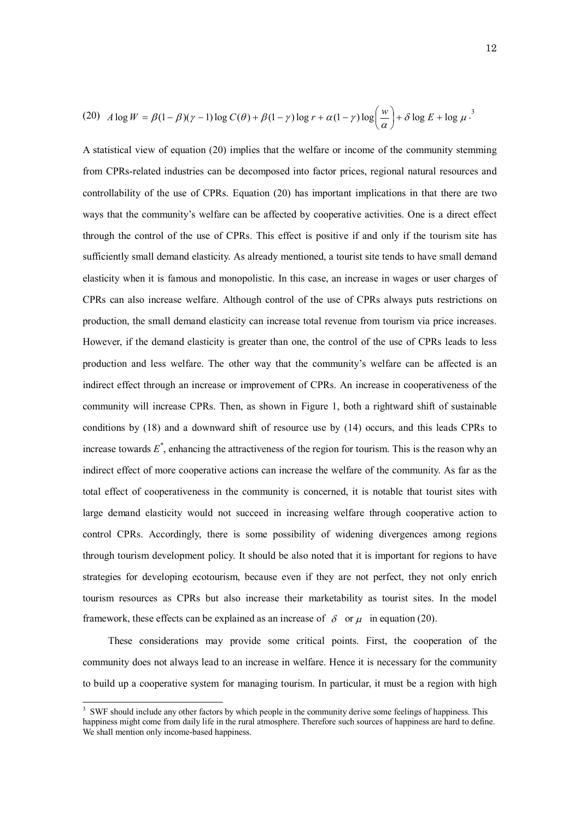(20) 
$$
A \log W = \beta(1-\beta)(\gamma-1)\log C(\theta) + \beta(1-\gamma)\log r + \alpha(1-\gamma)\log\left(\frac{w}{\alpha}\right) + \delta\log E + \log \mu^{3}
$$

A statistical view of equation (20) implies that the welfare or income of the community stemming from CPRs-related industries can be decomposed into factor prices, regional natural resources and controllability of the use of CPRs. Equation (20) has important implications in that there are two ways that the community's welfare can be affected by cooperative activities. One is a direct effect through the control of the use of CPRs. This effect is positive if and only if the tourism site has sufficiently small demand elasticity. As already mentioned, a tourist site tends to have small demand elasticity when it is famous and monopolistic. In this case, an increase in wages or user charges of CPRs can also increase welfare. Although control of the use of CPRs always puts restrictions on production, the small demand elasticity can increase total revenue from tourism via price increases. However, if the demand elasticity is greater than one, the control of the use of CPRs leads to less production and less welfare. The other way that the community's welfare can be affected is an indirect effect through an increase or improvement of CPRs. An increase in cooperativeness of the community will increase CPRs. Then, as shown in Figure 1, both a rightward shift of sustainable conditions by (18) and a downward shift of resource use by (14) occurs, and this leads CPRs to increase towards *E \** , enhancing the attractiveness of the region for tourism. This is the reason why an indirect effect of more cooperative actions can increase the welfare of the community. As far as the total effect of cooperativeness in the community is concerned, it is notable that tourist sites with large demand elasticity would not succeed in increasing welfare through cooperative action to control CPRs. Accordingly, there is some possibility of widening divergences among regions through tourism development policy. It should be also noted that it is important for regions to have strategies for developing ecotourism, because even if they are not perfect, they not only enrich tourism resources as CPRs but also increase their marketability as tourist sites. In the model framework, these effects can be explained as an increase of  $\delta$  or  $\mu$  in equation (20).

These considerations may provide some critical points. First, the cooperation of the community does not always lead to an increase in welfare. Hence it is necessary for the community to build up a cooperative system for managing tourism. In particular, it must be a region with high

 $\overline{a}$ 

<sup>&</sup>lt;sup>3</sup> SWF should include any other factors by which people in the community derive some feelings of happiness. This happiness might come from daily life in the rural atmosphere. Therefore such sources of happiness are hard to define. We shall mention only income-based happiness.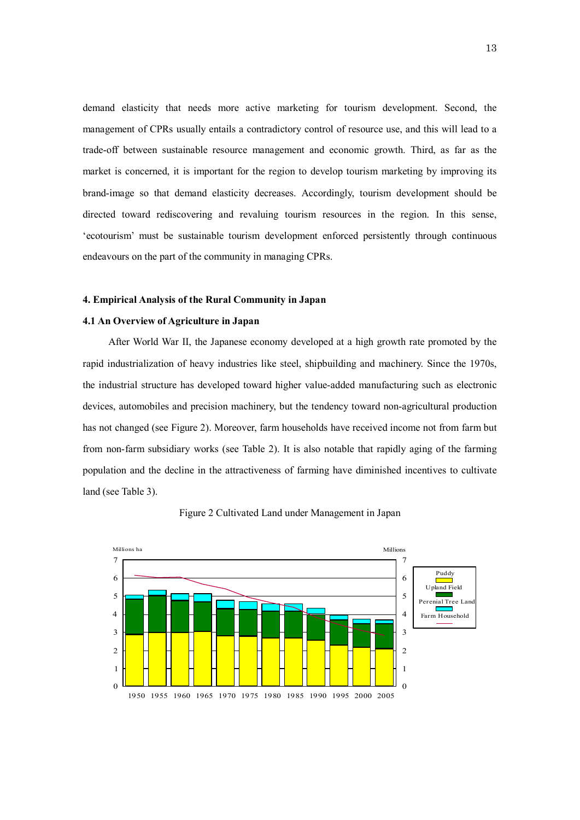demand elasticity that needs more active marketing for tourism development. Second, the management of CPRs usually entails a contradictory control of resource use, and this will lead to a trade-off between sustainable resource management and economic growth. Third, as far as the market is concerned, it is important for the region to develop tourism marketing by improving its brand-image so that demand elasticity decreases. Accordingly, tourism development should be directed toward rediscovering and revaluing tourism resources in the region. In this sense, 'ecotourism' must be sustainable tourism development enforced persistently through continuous endeavours on the part of the community in managing CPRs.

### **4. Empirical Analysis of the Rural Community in Japan**

# **4.1 An Overview of Agriculture in Japan**

 After World War II, the Japanese economy developed at a high growth rate promoted by the rapid industrialization of heavy industries like steel, shipbuilding and machinery. Since the 1970s, the industrial structure has developed toward higher value-added manufacturing such as electronic devices, automobiles and precision machinery, but the tendency toward non-agricultural production has not changed (see Figure 2). Moreover, farm households have received income not from farm but from non-farm subsidiary works (see Table 2). It is also notable that rapidly aging of the farming population and the decline in the attractiveness of farming have diminished incentives to cultivate land (see Table 3).



Figure 2 Cultivated Land under Management in Japan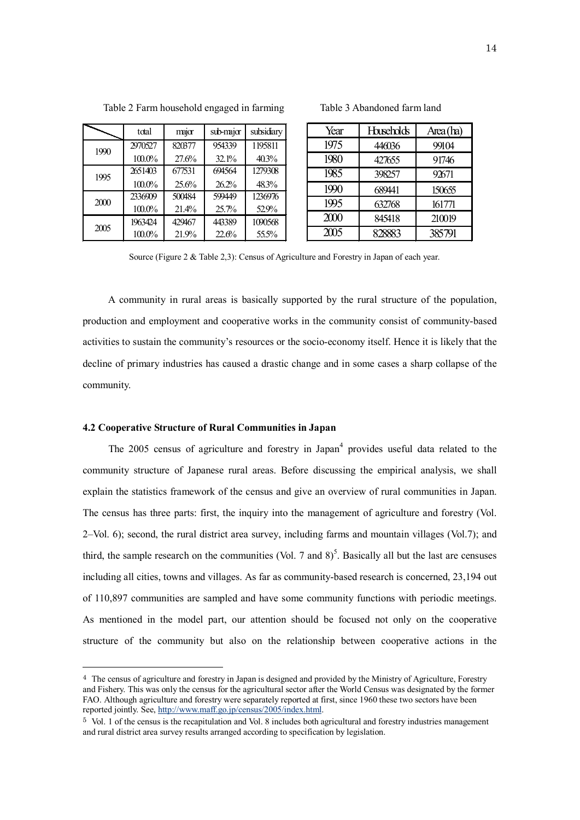|      | total     | major  | sub-major | subsidiary |
|------|-----------|--------|-----------|------------|
| 1990 | 2970527   | 820377 | 954339    | 1195811    |
|      | $100.0\%$ | 27.6%  | 32.1%     | 40.3%      |
| 1995 | 2651403   | 677531 | 694564    | 1279308    |
|      | $100.0\%$ | 25.6%  | 26.2%     | 48.3%      |
| 2000 | 2336909   | 500484 | 599449    | 1236976    |
|      | $100.0\%$ | 21.4%  | 25.7%     | 52.9%      |
| 2005 | 1963424   | 429467 | 443389    | 1090568    |
|      | 100.0%    | 21.9%  | 22.6%     | 55.5%      |

| Year              | <b>Huseholds</b> | Area(ha) |
|-------------------|------------------|----------|
| 1975              | 446036           | 99104    |
| 1980              | 427655           | 91746    |
| 1985              | 398257           | 92671    |
| 1990              | 689441           | 150655   |
| 1995              | 632768           | 161771   |
| 2000              | 845418           | 210019   |
| $\overline{2005}$ | 28883            | 385791   |

Source (Figure 2 & Table 2,3): Census of Agriculture and Forestry in Japan of each year.

A community in rural areas is basically supported by the rural structure of the population, production and employment and cooperative works in the community consist of community-based activities to sustain the community's resources or the socio-economy itself. Hence it is likely that the decline of primary industries has caused a drastic change and in some cases a sharp collapse of the community.

## **4.2 Cooperative Structure of Rural Communities in Japan**

 $\overline{a}$ 

The  $2005$  census of agriculture and forestry in Japan<sup>4</sup> provides useful data related to the community structure of Japanese rural areas. Before discussing the empirical analysis, we shall explain the statistics framework of the census and give an overview of rural communities in Japan. The census has three parts: first, the inquiry into the management of agriculture and forestry (Vol. 2–Vol. 6); second, the rural district area survey, including farms and mountain villages (Vol.7); and third, the sample research on the communities (Vol. 7 and  $8$ )<sup>5</sup>. Basically all but the last are censuses including all cities, towns and villages. As far as community-based research is concerned, 23,194 out of 110,897 communities are sampled and have some community functions with periodic meetings. As mentioned in the model part, our attention should be focused not only on the cooperative structure of the community but also on the relationship between cooperative actions in the

<sup>4</sup> The census of agriculture and forestry in Japan is designed and provided by the Ministry of Agriculture, Forestry and Fishery. This was only the census for the agricultural sector after the World Census was designated by the former FAO. Although agriculture and forestry were separately reported at first, since 1960 these two sectors have been reported jointly. See, http://www.maff.go.jp/census/2005/index.html.

<sup>5</sup> Vol. 1 of the census is the recapitulation and Vol. 8 includes both agricultural and forestry industries management and rural district area survey results arranged according to specification by legislation.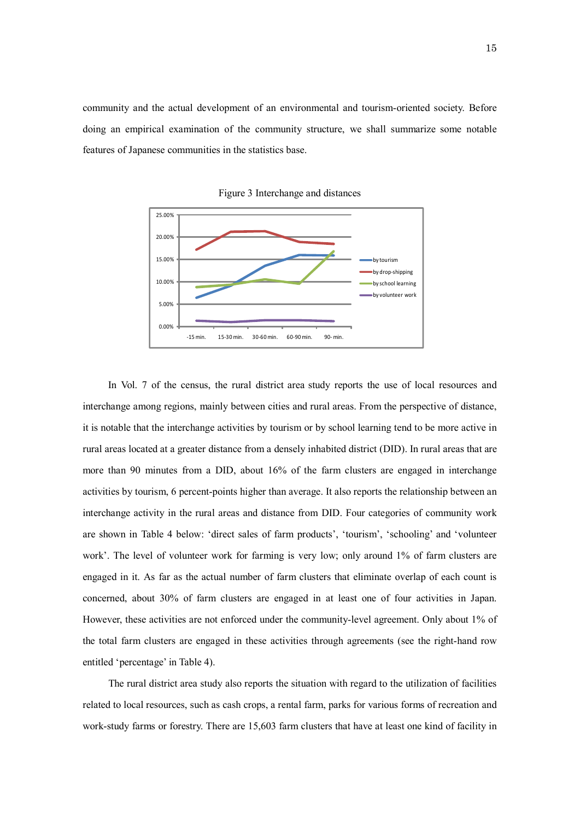community and the actual development of an environmental and tourism-oriented society. Before doing an empirical examination of the community structure, we shall summarize some notable features of Japanese communities in the statistics base.



Figure 3 Interchange and distances

In Vol. 7 of the census, the rural district area study reports the use of local resources and interchange among regions, mainly between cities and rural areas. From the perspective of distance, it is notable that the interchange activities by tourism or by school learning tend to be more active in rural areas located at a greater distance from a densely inhabited district (DID). In rural areas that are more than 90 minutes from a DID, about 16% of the farm clusters are engaged in interchange activities by tourism, 6 percent-points higher than average. It also reports the relationship between an interchange activity in the rural areas and distance from DID. Four categories of community work are shown in Table 4 below: 'direct sales of farm products', 'tourism', 'schooling' and 'volunteer work'. The level of volunteer work for farming is very low; only around 1% of farm clusters are engaged in it. As far as the actual number of farm clusters that eliminate overlap of each count is concerned, about 30% of farm clusters are engaged in at least one of four activities in Japan. However, these activities are not enforced under the community-level agreement. Only about 1% of the total farm clusters are engaged in these activities through agreements (see the right-hand row entitled 'percentage' in Table 4).

 The rural district area study also reports the situation with regard to the utilization of facilities related to local resources, such as cash crops, a rental farm, parks for various forms of recreation and work-study farms or forestry. There are 15,603 farm clusters that have at least one kind of facility in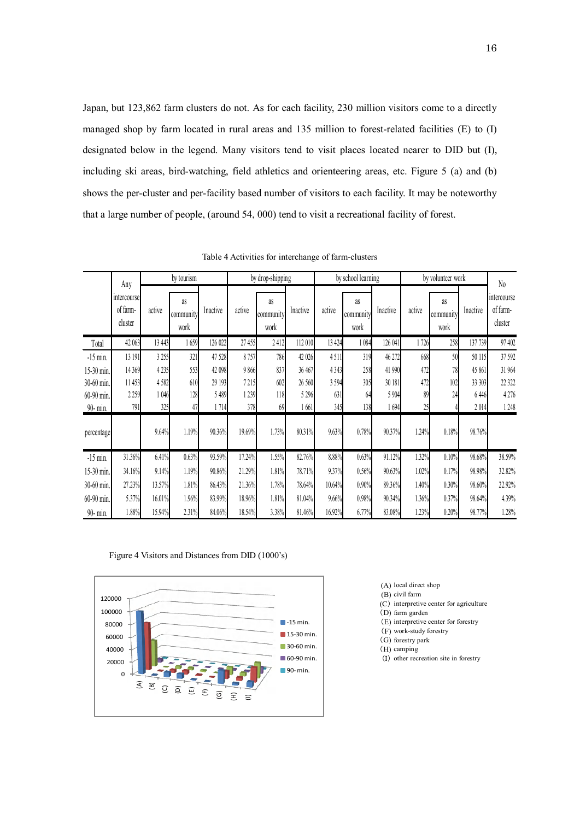Japan, but 123,862 farm clusters do not. As for each facility, 230 million visitors come to a directly managed shop by farm located in rural areas and 135 million to forest-related facilities (E) to (I) designated below in the legend. Many visitors tend to visit places located nearer to DID but (I), including ski areas, bird-watching, field athletics and orienteering areas, etc. Figure 5 (a) and (b) shows the per-cluster and per-facility based number of visitors to each facility. It may be noteworthy that a large number of people, (around 54, 000) tend to visit a recreational facility of forest.

|            | Any                                |         | by tourism              |          |        | by drop-shipping        |          |         | by school learning      |          |        | by volunteer work       |          | No                                 |
|------------|------------------------------------|---------|-------------------------|----------|--------|-------------------------|----------|---------|-------------------------|----------|--------|-------------------------|----------|------------------------------------|
|            | intercourse<br>of farm-<br>cluster | active  | as<br>community<br>work | Inactive | active | as<br>community<br>work | Inactive | active  | as<br>community<br>work | Inactive | active | as<br>community<br>work | Inactive | intercourse<br>of farm-<br>cluster |
| Total      | 42 063                             | 13 4 43 | 1659                    | 126 022  | 27455  | 2412                    | 112 010  | 13 4 24 | 1084                    | 126 041  | 1726   | 258                     | 137 739  | 97 402                             |
| $-15$ min. | 13 191                             | 3 255   | 321                     | 47 528   | 8757   | 786                     | 42 026   | 4511    | 319                     | 46 272   | 668    | 50                      | 50 115   | 37 592                             |
| 15-30 min. | 14 3 69                            | 4 2 3 5 | 553                     | 42 098   | 9866   | 837                     | 36 467   | 4 3 4 3 | 258                     | 41 990   | 472    | 78                      | 45 861   | 31 964                             |
| 30-60 min. | 11 453                             | 4582    | 610                     | 29 193   | 7215   | 602                     | 26 560   | 3594    | 305                     | 30 181   | 472    | 102                     | 33 303   | 22 3 22                            |
| 60-90 min. | 2259                               | 1 046   | 128                     | 5 4 8 9  | 1239   | 118                     | 5 2 9 6  | 631     | 64                      | 5 904    | 89     | 24                      | 6446     | 4276                               |
| 90- min.   | 791                                | 325     | 47                      | 1714     | 378    | 69                      | 1661     | 345     | 138                     | 1 694    | 25     |                         | 2014     | 1248                               |
| percentage |                                    | 9.64%   | 1.19%                   | 90.36%   | 19.69% | 1.73%                   | 80.31%   | 9.63%   | 0.78%                   | 90.37%   | 1.24%  | 0.18%                   | 98.76%   |                                    |
| $-15$ min. | 31.36%                             | 6.41%   | 0.63%                   | 93.59%   | 17.24% | 1.55%                   | 82.76%   | 8.88%   | 0.63%                   | 91.12%   | 1.32%  | 0.10%                   | 98.68%   | 38.59%                             |
| 15-30 min. | 34.16%                             | 9.14%   | 1.19%                   | 90.86%   | 21.29% | 1.81%                   | 78.71%   | 9.37%   | 0.56%                   | 90.63%   | 1.02%  | 0.17%                   | 98.98%   | 32.82%                             |
| 30-60 min. | 27.23%                             | 13.57%  | 1.81%                   | 86.43%   | 21.36% | 1.78%                   | 78.64%   | 10.64%  | 0.90%                   | 89.36%   | 1.40%  | 0.30%                   | 98.60%   | 22.92%                             |
| 60-90 min. | 5.37%                              | 16.01%  | 1.96%                   | 83.99%   | 18.96% | 1.81%                   | 81.04%   | 9.66%   | 0.98%                   | 90.34%   | 1.36%  | 0.37%                   | 98.64%   | 4.39%                              |
| 90- min.   | 1.88%                              | 15.94%  | 2.31%                   | 84.06%   | 18.54% | 3.38%                   | 81.46%   | 16.92%  | 6.77%                   | 83.08%   | 1.23%  | 0.20%                   | 98.77%   | 1.28%                              |

Table 4 Activities for interchange of farm-clusters





- (A) local direct shop
- (B) civil farm
- (C) interpretive center for agriculture
- (D) farm garden
- (E) interpretive center for forestry
- (F) work-study forestry
- (G) forestry park
- (H) camping
- (I) other recreation site in forestry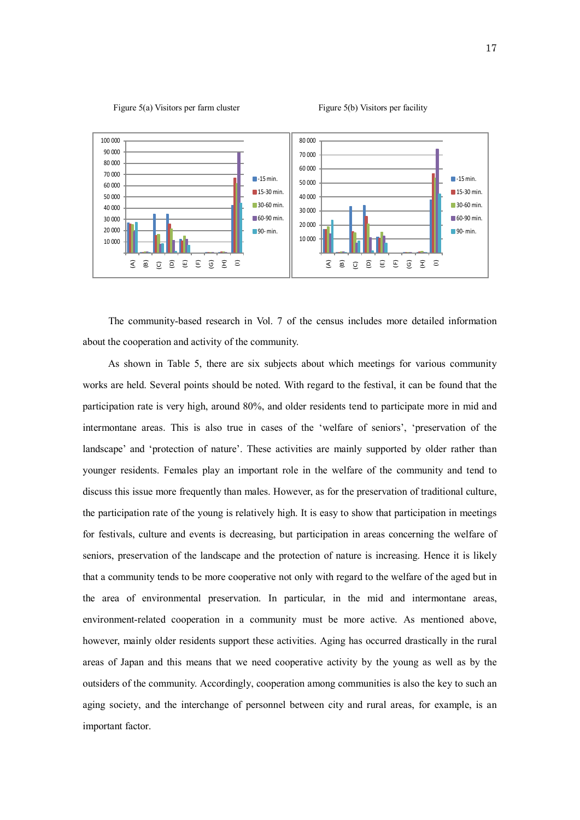



 The community-based research in Vol. 7 of the census includes more detailed information about the cooperation and activity of the community.

As shown in Table 5, there are six subjects about which meetings for various community works are held. Several points should be noted. With regard to the festival, it can be found that the participation rate is very high, around 80%, and older residents tend to participate more in mid and intermontane areas. This is also true in cases of the 'welfare of seniors', 'preservation of the landscape' and 'protection of nature'. These activities are mainly supported by older rather than younger residents. Females play an important role in the welfare of the community and tend to discuss this issue more frequently than males. However, as for the preservation of traditional culture, the participation rate of the young is relatively high. It is easy to show that participation in meetings for festivals, culture and events is decreasing, but participation in areas concerning the welfare of seniors, preservation of the landscape and the protection of nature is increasing. Hence it is likely that a community tends to be more cooperative not only with regard to the welfare of the aged but in the area of environmental preservation. In particular, in the mid and intermontane areas, environment-related cooperation in a community must be more active. As mentioned above, however, mainly older residents support these activities. Aging has occurred drastically in the rural areas of Japan and this means that we need cooperative activity by the young as well as by the outsiders of the community. Accordingly, cooperation among communities is also the key to such an aging society, and the interchange of personnel between city and rural areas, for example, is an important factor.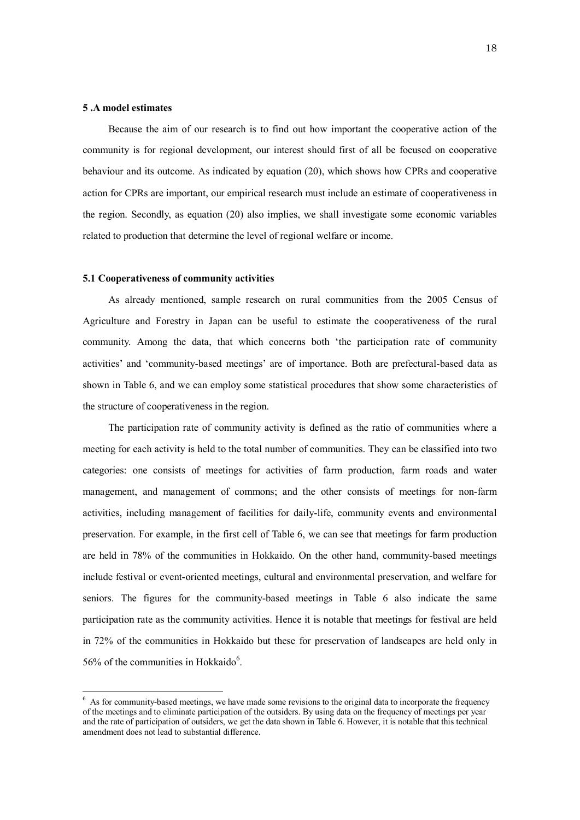## **5 .A model estimates**

 $\overline{a}$ 

 Because the aim of our research is to find out how important the cooperative action of the community is for regional development, our interest should first of all be focused on cooperative behaviour and its outcome. As indicated by equation (20), which shows how CPRs and cooperative action for CPRs are important, our empirical research must include an estimate of cooperativeness in the region. Secondly, as equation (20) also implies, we shall investigate some economic variables related to production that determine the level of regional welfare or income.

#### **5.1 Cooperativeness of community activities**

 As already mentioned, sample research on rural communities from the 2005 Census of Agriculture and Forestry in Japan can be useful to estimate the cooperativeness of the rural community. Among the data, that which concerns both 'the participation rate of community activities' and 'community-based meetings' are of importance. Both are prefectural-based data as shown in Table 6, and we can employ some statistical procedures that show some characteristics of the structure of cooperativeness in the region.

 The participation rate of community activity is defined as the ratio of communities where a meeting for each activity is held to the total number of communities. They can be classified into two categories: one consists of meetings for activities of farm production, farm roads and water management, and management of commons; and the other consists of meetings for non-farm activities, including management of facilities for daily-life, community events and environmental preservation. For example, in the first cell of Table 6, we can see that meetings for farm production are held in 78% of the communities in Hokkaido. On the other hand, community-based meetings include festival or event-oriented meetings, cultural and environmental preservation, and welfare for seniors. The figures for the community-based meetings in Table 6 also indicate the same participation rate as the community activities. Hence it is notable that meetings for festival are held in 72% of the communities in Hokkaido but these for preservation of landscapes are held only in 56% of the communities in Hokkaido $6$ .

 $6$  As for community-based meetings, we have made some revisions to the original data to incorporate the frequency of the meetings and to eliminate participation of the outsiders. By using data on the frequency of meetings per year and the rate of participation of outsiders, we get the data shown in Table 6. However, it is notable that this technical amendment does not lead to substantial difference.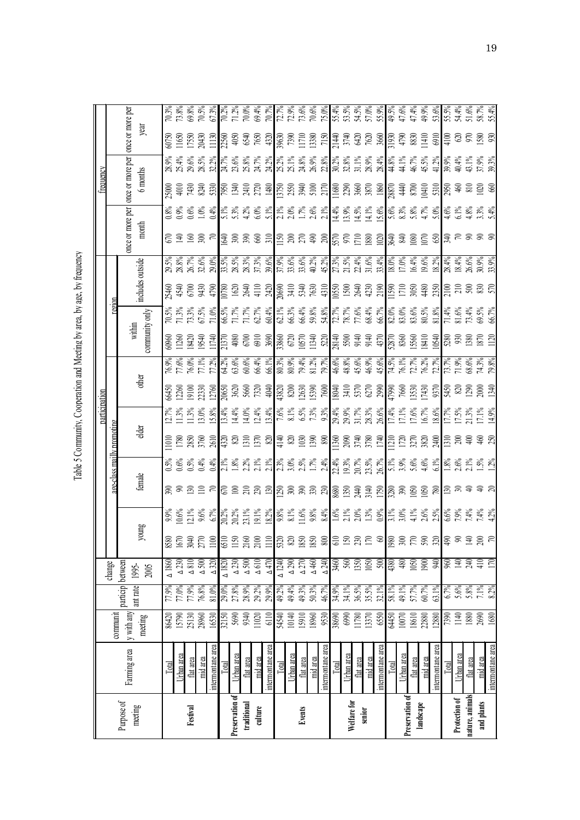Table 5 Community, Cooperation and Meeting by area, by age, by frequency Table 5 Community, Cooperation and Meeting by area, by age, by frequency

|                       |                                        |                             |                                                                                                                                                                                                                                                                                                                                                      |                                                         |                                                                       |                                                                                                                      |                                                                                                                                                            | participation |                                                                                                                                                                                                                                                                                                           |                                                                                                                                                                                                                                    |                |        |                  |                  | requency         |                                                                                                                                                                                                                                |  |
|-----------------------|----------------------------------------|-----------------------------|------------------------------------------------------------------------------------------------------------------------------------------------------------------------------------------------------------------------------------------------------------------------------------------------------------------------------------------------------|---------------------------------------------------------|-----------------------------------------------------------------------|----------------------------------------------------------------------------------------------------------------------|------------------------------------------------------------------------------------------------------------------------------------------------------------|---------------|-----------------------------------------------------------------------------------------------------------------------------------------------------------------------------------------------------------------------------------------------------------------------------------------------------------|------------------------------------------------------------------------------------------------------------------------------------------------------------------------------------------------------------------------------------|----------------|--------|------------------|------------------|------------------|--------------------------------------------------------------------------------------------------------------------------------------------------------------------------------------------------------------------------------|--|
|                       |                                        | communit                    |                                                                                                                                                                                                                                                                                                                                                      | change                                                  |                                                                       |                                                                                                                      | <u>aee-class mailly promotine</u>                                                                                                                          |               |                                                                                                                                                                                                                                                                                                           |                                                                                                                                                                                                                                    |                | region |                  |                  |                  |                                                                                                                                                                                                                                |  |
| Purpose of<br>meeting | Farming area                           | y with any                  | particip between<br>ant rate                                                                                                                                                                                                                                                                                                                         | 1995-                                                   |                                                                       |                                                                                                                      |                                                                                                                                                            |               |                                                                                                                                                                                                                                                                                                           |                                                                                                                                                                                                                                    | within         |        |                  | once or more per | once or more per | once or more per                                                                                                                                                                                                               |  |
|                       |                                        | meeting                     |                                                                                                                                                                                                                                                                                                                                                      | 2005                                                    | oung                                                                  | female                                                                                                               | elder                                                                                                                                                      |               | other                                                                                                                                                                                                                                                                                                     |                                                                                                                                                                                                                                    | community only |        | includes outside | month            | 6 months         | year                                                                                                                                                                                                                           |  |
|                       | Total                                  |                             |                                                                                                                                                                                                                                                                                                                                                      | $\triangle$ 1860                                        |                                                                       |                                                                                                                      |                                                                                                                                                            |               |                                                                                                                                                                                                                                                                                                           |                                                                                                                                                                                                                                    |                |        |                  |                  |                  |                                                                                                                                                                                                                                |  |
|                       | Urban area                             | 86420<br>15790<br>25130     | %89L<br>%61L<br>%61LL<br>%61LL                                                                                                                                                                                                                                                                                                                       |                                                         | 9580<br>1670<br>2770                                                  |                                                                                                                      |                                                                                                                                                            |               |                                                                                                                                                                                                                                                                                                           |                                                                                                                                                                                                                                    |                |        |                  |                  |                  |                                                                                                                                                                                                                                |  |
| Festival              | flat area                              |                             |                                                                                                                                                                                                                                                                                                                                                      | $\frac{\triangle 330}{\triangle 810}$                   |                                                                       |                                                                                                                      |                                                                                                                                                            |               |                                                                                                                                                                                                                                                                                                           |                                                                                                                                                                                                                                    |                |        |                  |                  |                  |                                                                                                                                                                                                                                |  |
|                       | mid area                               | 28960                       |                                                                                                                                                                                                                                                                                                                                                      |                                                         |                                                                       | <u>និ ខ្លួន ដូច នៅ មន្ត្រី ខ្លួន ដូច និង មន្ត្រី ខ្លួន មន្ត្រី ដូច និង មន្ត្រី ដូច និង មន្ត្រី ដូច និង មន្ត្រី ដ</u> | $12888899$<br>$12888899$<br>$1288889$<br>$1288889$<br>$1298889$<br>$1298889$<br>$1298889$<br>$1298889$<br>$1298889$<br>$1298889$<br>$1298889$<br>$1298889$ |               | $\frac{36}{36}$ $\frac{36}{36}$ $\frac{36}{36}$ $\frac{36}{36}$ $\frac{36}{36}$ $\frac{36}{36}$ $\frac{36}{36}$ $\frac{36}{36}$ $\frac{36}{36}$ $\frac{36}{36}$ $\frac{36}{36}$ $\frac{36}{36}$ $\frac{36}{36}$ $\frac{36}{36}$ $\frac{36}{36}$ $\frac{36}{36}$ $\frac{36}{36}$ $\frac{36}{36}$ $\frac{3$ | 96.98   87.88   88.98   89.98   89.98   89.98   89.98   89.98   89.98   89.98   89.98   89.98   89.98   89.98<br>  71.88   89.98   89.98   89.98   89.98   89.98   89.98   89.98   89.98   89.98   89.98   89.98   89.98   89.<br> |                |        |                  | 54988            |                  | $65.50$ $65.70$ $65.70$ $65.70$ $65.70$ $65.70$ $65.70$ $65.70$ $65.70$ $65.70$ $65.70$ $65.70$ $65.70$ $65.70$ $65.70$ $65.70$ $65.70$ $65.70$ $65.70$ $65.70$ $65.70$ $65.70$ $65.70$ $65.70$ $65.70$ $65.70$ $65.70$ $65.7$ |  |
|                       | intermontane area                      | 16530                       | 81.0%                                                                                                                                                                                                                                                                                                                                                | $\triangle$ 320                                         |                                                                       |                                                                                                                      |                                                                                                                                                            |               |                                                                                                                                                                                                                                                                                                           |                                                                                                                                                                                                                                    |                |        |                  |                  |                  |                                                                                                                                                                                                                                |  |
|                       | Total                                  |                             |                                                                                                                                                                                                                                                                                                                                                      |                                                         |                                                                       |                                                                                                                      |                                                                                                                                                            |               |                                                                                                                                                                                                                                                                                                           |                                                                                                                                                                                                                                    |                |        |                  |                  |                  |                                                                                                                                                                                                                                |  |
| Preservation of       | Urban area                             | 32150<br>5690<br>11020      |                                                                                                                                                                                                                                                                                                                                                      | $\frac{\Delta}{230}$                                    |                                                                       |                                                                                                                      |                                                                                                                                                            |               |                                                                                                                                                                                                                                                                                                           |                                                                                                                                                                                                                                    |                |        |                  |                  |                  |                                                                                                                                                                                                                                |  |
| traditional           | flat area                              |                             |                                                                                                                                                                                                                                                                                                                                                      |                                                         |                                                                       |                                                                                                                      |                                                                                                                                                            |               |                                                                                                                                                                                                                                                                                                           |                                                                                                                                                                                                                                    |                |        |                  |                  |                  |                                                                                                                                                                                                                                |  |
| culture               | mid area                               |                             | 29.0%<br>27.8%<br>28.9%<br>29.2%                                                                                                                                                                                                                                                                                                                     | $\begin{array}{c} \Delta 500 \\ \Delta 610 \end{array}$ |                                                                       |                                                                                                                      |                                                                                                                                                            |               |                                                                                                                                                                                                                                                                                                           |                                                                                                                                                                                                                                    |                |        |                  |                  |                  |                                                                                                                                                                                                                                |  |
|                       | ntermontane area                       | 6110                        |                                                                                                                                                                                                                                                                                                                                                      | $\Delta$ 470                                            | $\overline{\mathbf{H}}$                                               |                                                                                                                      |                                                                                                                                                            |               |                                                                                                                                                                                                                                                                                                           |                                                                                                                                                                                                                                    |                |        |                  |                  |                  |                                                                                                                                                                                                                                |  |
|                       |                                        | 54540<br>10140<br>15910     |                                                                                                                                                                                                                                                                                                                                                      |                                                         |                                                                       |                                                                                                                      |                                                                                                                                                            |               |                                                                                                                                                                                                                                                                                                           |                                                                                                                                                                                                                                    |                |        |                  |                  |                  |                                                                                                                                                                                                                                |  |
|                       | Urban area                             |                             |                                                                                                                                                                                                                                                                                                                                                      |                                                         |                                                                       |                                                                                                                      |                                                                                                                                                            |               |                                                                                                                                                                                                                                                                                                           |                                                                                                                                                                                                                                    |                |        |                  |                  |                  |                                                                                                                                                                                                                                |  |
| Events                | $\frac{\text{flat area}}{\text{Area}}$ |                             |                                                                                                                                                                                                                                                                                                                                                      |                                                         |                                                                       |                                                                                                                      |                                                                                                                                                            |               |                                                                                                                                                                                                                                                                                                           |                                                                                                                                                                                                                                    |                |        |                  |                  |                  |                                                                                                                                                                                                                                |  |
|                       | mid area                               |                             |                                                                                                                                                                                                                                                                                                                                                      |                                                         |                                                                       |                                                                                                                      |                                                                                                                                                            |               |                                                                                                                                                                                                                                                                                                           |                                                                                                                                                                                                                                    |                |        |                  |                  |                  |                                                                                                                                                                                                                                |  |
|                       | ntermontane area                       | 9530                        | $\frac{8}{3}$<br>$\frac{8}{3}$<br>$\frac{8}{3}$<br>$\frac{8}{3}$<br>$\frac{8}{3}$<br>$\frac{8}{3}$<br>$\frac{8}{3}$<br>$\frac{8}{3}$<br>$\frac{8}{3}$<br>$\frac{8}{3}$<br>$\frac{8}{3}$<br>$\frac{8}{3}$<br>$\frac{8}{3}$<br>$\frac{8}{3}$<br>$\frac{8}{3}$<br>$\frac{8}{3}$<br>$\frac{8}{3}$<br>$\frac{8}{3}$<br>$\frac{8}{3}$<br>$\frac{8}{3}$<br> |                                                         | $\frac{55}{25}$ $\frac{55}{25}$ $\frac{55}{25}$                       |                                                                                                                      |                                                                                                                                                            |               |                                                                                                                                                                                                                                                                                                           |                                                                                                                                                                                                                                    |                |        |                  |                  |                  |                                                                                                                                                                                                                                |  |
|                       | lotal                                  |                             |                                                                                                                                                                                                                                                                                                                                                      |                                                         |                                                                       |                                                                                                                      |                                                                                                                                                            |               |                                                                                                                                                                                                                                                                                                           |                                                                                                                                                                                                                                    |                |        |                  |                  |                  |                                                                                                                                                                                                                                |  |
| Welfare for           | Urban area                             | 6990                        |                                                                                                                                                                                                                                                                                                                                                      |                                                         |                                                                       |                                                                                                                      |                                                                                                                                                            |               |                                                                                                                                                                                                                                                                                                           |                                                                                                                                                                                                                                    |                |        |                  |                  |                  |                                                                                                                                                                                                                                |  |
|                       | flat area                              | 1780<br>13370               |                                                                                                                                                                                                                                                                                                                                                      |                                                         | $\Sigma$ ភ្លឺ $\Sigma$                                                |                                                                                                                      |                                                                                                                                                            |               |                                                                                                                                                                                                                                                                                                           |                                                                                                                                                                                                                                    |                |        |                  |                  |                  |                                                                                                                                                                                                                                |  |
| senior                | mid area                               |                             |                                                                                                                                                                                                                                                                                                                                                      |                                                         |                                                                       |                                                                                                                      |                                                                                                                                                            |               |                                                                                                                                                                                                                                                                                                           |                                                                                                                                                                                                                                    |                |        |                  |                  |                  |                                                                                                                                                                                                                                |  |
|                       | intermontane area                      | 650                         |                                                                                                                                                                                                                                                                                                                                                      | 500                                                     |                                                                       |                                                                                                                      |                                                                                                                                                            |               |                                                                                                                                                                                                                                                                                                           |                                                                                                                                                                                                                                    |                |        |                  |                  |                  |                                                                                                                                                                                                                                |  |
|                       | Total                                  | 02001<br>09 <del>tr</del> 9 |                                                                                                                                                                                                                                                                                                                                                      | 08t<br>08                                               |                                                                       |                                                                                                                      |                                                                                                                                                            |               |                                                                                                                                                                                                                                                                                                           |                                                                                                                                                                                                                                    |                |        |                  |                  |                  |                                                                                                                                                                                                                                |  |
| Preservation of       | Urban area                             |                             |                                                                                                                                                                                                                                                                                                                                                      |                                                         |                                                                       |                                                                                                                      |                                                                                                                                                            |               |                                                                                                                                                                                                                                                                                                           |                                                                                                                                                                                                                                    |                |        |                  |                  |                  |                                                                                                                                                                                                                                |  |
|                       | flat area                              | 18610<br>22880              |                                                                                                                                                                                                                                                                                                                                                      |                                                         |                                                                       |                                                                                                                      |                                                                                                                                                            |               |                                                                                                                                                                                                                                                                                                           |                                                                                                                                                                                                                                    |                |        |                  |                  |                  |                                                                                                                                                                                                                                |  |
| landscape             | mid area                               |                             | 81.89<br>87.7%<br>60.7%<br>61.82                                                                                                                                                                                                                                                                                                                     | 1050<br>1900<br>940                                     |                                                                       |                                                                                                                      |                                                                                                                                                            |               |                                                                                                                                                                                                                                                                                                           |                                                                                                                                                                                                                                    |                |        |                  |                  |                  |                                                                                                                                                                                                                                |  |
|                       | intermontane area                      | 2880                        |                                                                                                                                                                                                                                                                                                                                                      |                                                         | $\frac{88}{35}$ ក្ដី និង                                              |                                                                                                                      |                                                                                                                                                            |               |                                                                                                                                                                                                                                                                                                           |                                                                                                                                                                                                                                    |                |        |                  |                  |                  |                                                                                                                                                                                                                                |  |
|                       |                                        | 7390<br>1140<br>2690        | 6.7%<br>5.8%<br>5.8%<br>7.1%                                                                                                                                                                                                                                                                                                                         | 170<br>140<br>170<br>170                                | $\frac{5}{9}$ $\frac{3}{9}$ $\frac{3}{4}$ $\frac{5}{9}$ $\frac{5}{9}$ |                                                                                                                      |                                                                                                                                                            |               |                                                                                                                                                                                                                                                                                                           |                                                                                                                                                                                                                                    |                |        |                  |                  |                  |                                                                                                                                                                                                                                |  |
| Protection of         | Urban are:                             |                             |                                                                                                                                                                                                                                                                                                                                                      |                                                         |                                                                       |                                                                                                                      |                                                                                                                                                            |               |                                                                                                                                                                                                                                                                                                           |                                                                                                                                                                                                                                    |                |        |                  |                  |                  |                                                                                                                                                                                                                                |  |
| nature, animals       | flat area                              |                             |                                                                                                                                                                                                                                                                                                                                                      |                                                         |                                                                       |                                                                                                                      |                                                                                                                                                            |               |                                                                                                                                                                                                                                                                                                           |                                                                                                                                                                                                                                    |                |        |                  |                  |                  |                                                                                                                                                                                                                                |  |
| and plants            |                                        |                             |                                                                                                                                                                                                                                                                                                                                                      |                                                         |                                                                       |                                                                                                                      |                                                                                                                                                            |               |                                                                                                                                                                                                                                                                                                           |                                                                                                                                                                                                                                    |                |        |                  |                  |                  |                                                                                                                                                                                                                                |  |
|                       | intermontane area                      | 1680                        |                                                                                                                                                                                                                                                                                                                                                      |                                                         |                                                                       |                                                                                                                      |                                                                                                                                                            |               |                                                                                                                                                                                                                                                                                                           |                                                                                                                                                                                                                                    |                |        |                  |                  |                  |                                                                                                                                                                                                                                |  |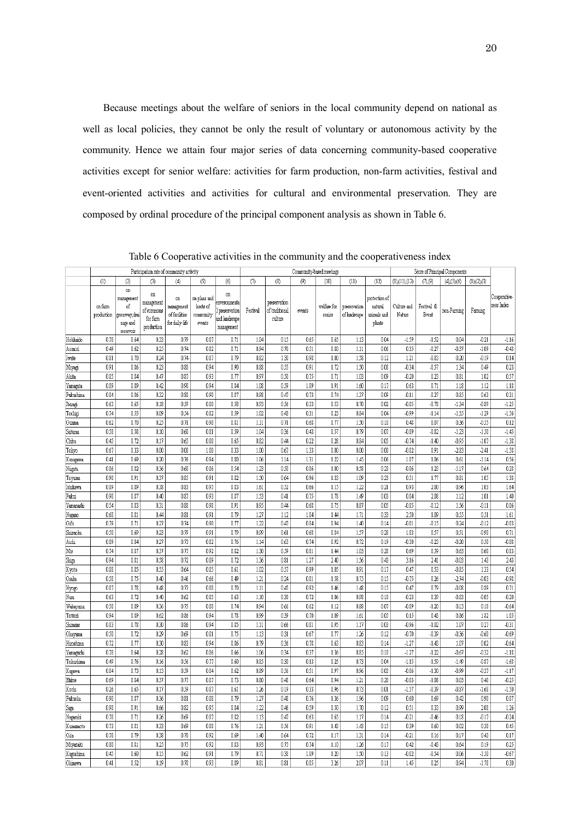Because meetings about the welfare of seniors in the local community depend on national as well as local policies, they cannot be only the result of voluntary or autonomous activity by the community. Hence we attain four major series of data concerning community-based cooperative activities except for senior welfare: activities for farm production, non-farm activities, festival and event-oriented activities and activities for cultural and environmental preservation. They are composed by ordinal procedure of the principal component analysis as shown in Table 6.

|                        |                       |                                                                  |                                                          | Participation rate of community activity            |                                                 |                                                                   |              |                                           | Community-based meetings |                       |                              |                                                   |                         |                     | Score of Principal Components |              |                            |
|------------------------|-----------------------|------------------------------------------------------------------|----------------------------------------------------------|-----------------------------------------------------|-------------------------------------------------|-------------------------------------------------------------------|--------------|-------------------------------------------|--------------------------|-----------------------|------------------------------|---------------------------------------------------|-------------------------|---------------------|-------------------------------|--------------|----------------------------|
|                        | (1)                   | (2)                                                              | (3)                                                      | (4)                                                 | (5)                                             | (6)                                                               | (7)          | (8)                                       | (9)                      | (10)                  | (11)                         | (12)                                              | $(8)$ , $(11)$ , $(12)$ | (7),(9)             | (4)(5)(6)                     | (1),(2),(3)  |                            |
|                        | on farm<br>production | on<br>management<br>of<br>greenway,drai<br>nage and<br>reservoir | on<br>management<br>of commons<br>for farm<br>production | on<br>management<br>of facilities<br>for daily-life | on plans and<br>hosts of<br>community<br>events | on<br>enveronmenta<br>preservation<br>and landscape<br>management | Festival     | preservation<br>of traditional<br>culture | events                   | welfare for<br>senior | preservation<br>of landscape | protection of<br>natural<br>animals and<br>plants | Culture and<br>Nature   | Festival &<br>Event | non-Farming                   | Farming      | Cooperative-<br>ness Index |
| Hokkaido               | 0.78                  | 0.64                                                             | 0.33                                                     | 0.79                                                | 0.87                                            | 0.71                                                              | 1.04         | 0.15                                      | 0.65                     | 0.65                  | 1.13                         | 0.04                                              | $-1.59$                 | $-1.52$             | 0.04                          | $-0.21$      | $-1.16$                    |
| Aomon                  | 0.49                  | 0.62                                                             | 0.25                                                     | 0.74                                                | 0.82                                            | 0.71                                                              | 0.94         | 0.70                                      | 0.51                     | 0.80                  | 1.11                         | 0.06                                              | 0.35                    | $-0.27$             | $-0.37$                       | $-1.09$      | $-0.43$                    |
| Iwate                  | 0.81                  | 0.70                                                             | 0.24                                                     | 0.74                                                | 0.87                                            | 0.79                                                              | 0.82         | 1.30                                      | 0.98                     | 1.00                  | 1.58                         | 0.12                                              | 1.21                    | $-0.83$             | 0.20                          | $-0.19$      | 0.14                       |
| Miyagi                 | 0.91                  | 0.86                                                             | 0.23                                                     | 0.88                                                | 0.94                                            | 0.90                                                              | 0.88         | 0.55                                      | 0.91                     | 1.72                  | 1.50                         | 0.08                                              | $-0.34$                 | $-0.57$             | 1.34                          | 0.49         | 0.23                       |
| Akita                  | 0.85                  | 0.84                                                             | 0.47                                                     | 0.87                                                | 0.93                                            | 0.77                                                              | 0.97         | 0.50                                      | 0.75                     | 0.71                  | 1.03                         | 0.09                                              | $-0.20$                 | 0.23                | 0.81                          | 1.02         | 0.57                       |
| Yamagata               | 0.89                  | 0.89                                                             | 0.42                                                     | 0.90                                                | 0.94                                            | 0.84                                                              | 1.08         | 0.59                                      | 1.09                     | 1.91                  | 1.60                         | 0.17                                              | 0.63                    | 0.71                | 1.18                          | 1.12         | 1.18                       |
| Fukushima              | 0.84                  | 0.86                                                             | 0.32                                                     | 0.80                                                | 0.90                                            | 0.87                                                              | 0.98         | 0.47                                      | 0.73                     | 0.74                  | 1.37                         | 0.09                                              | $-0.11$                 | $-0.27$             | 0.85                          | 0.63         | 0.31                       |
| Ibaragi                | 0.63                  | 0.65                                                             | 0.18                                                     | 0.59                                                | 0.80                                            | 0.58                                                              | 0.93         | 0.56                                      | 0.33                     | 0.53                  | 0.70                         | 0.02                                              | $-0.85$                 | $-0.78$             | $-1.34$                       | $-0.89$      | $-1.25$                    |
| Tochigi                | 0.74                  | 0.55                                                             | 0.09                                                     | 0.54                                                | 0.82                                            | 0.59                                                              | 1.02         | 0.43                                      | 0.31                     | 0.23                  | 0.84                         | 0.04                                              | $-0.99$                 | $-1.14$             | $-1.35$                       | $-1.29$      | $-1.56$                    |
| Gunma                  | 0.62                  | 0.70                                                             | 0.25                                                     | 0.71                                                | 0.90                                            | 0.81                                                              | 1.11         | 0.71                                      | 0.68                     | 0.77                  | 1.50                         | 0.10                                              | 0.48                    | 0.07                | 0.36                          | $-0.55$      | 0.12                       |
| Saitama                | 0.58                  | 0.58                                                             | 0.10                                                     | 0.60                                                | 0.81                                            | 0.59                                                              | 1.04         | 0.36                                      | 0.43                     | 0.57                  | 0.79                         | 0.07                                              | $-0.89$                 | $-0.82$             | $-1.23$                       | $-1.50$      | $-1.45$                    |
| Chiba                  | 0.45                  | 0.72                                                             | 0.17                                                     | 0.65                                                | 0.80                                            | 0.65                                                              | 0.82         | 0.44                                      | 0.22                     | 0.28                  | 0.84                         | 0.05                                              | $-0.74$                 | $-1.40$             | $-0.95$                       | $-1.07$      | $-1.38$                    |
| Tokyo                  | 0.67                  | 0.33                                                             | 0.00                                                     | 0.00                                                | 1.00                                            | 0.33                                                              | 1.00         | 0.67                                      | 1.33                     | $0.00\,$              | 0.00                         | 0.00                                              | $-0.82$                 | 0.91                | $-2.83$                       | $-2.41$      | $-1.58$                    |
| Kanagawa               | 0.41                  | 0.69                                                             | 0.20                                                     | 0.76                                                | 0.94                                            | 0.80                                                              | 1.06         | 1.14                                      | 1.31                     | 1.22                  | 1.45                         | 0.06                                              | 1.07                    | 1.06                | 0.61                          | $-1.14$      | 0.56                       |
| Niigata                | 0.86                  | 0.82                                                             | 0.36                                                     | 0.60                                                | 0.86                                            | 0.54                                                              | 1.23         | 0.50                                      | 0.86                     | 1.00                  | 0.58                         | 0.23                                              | $-0.06$                 | 1.23                | $-1.17$                       | 0.64         | 0.28                       |
| Toyama                 | 0.90                  | 0.91                                                             | 0.37                                                     | 0.85                                                | 0.91                                            | 0.82                                                              | 1.50         | 0.64                                      | 0.96                     | 1.33                  | 1.09                         | 0.23                                              | 0.51                    | 1.77                | 0.81                          | 1.05         | 1.38                       |
| Ishikawa               | 0.89                  | 0.89                                                             | 0.38                                                     | 0.83                                                | 0.95                                            | 0.83                                                              | 1.61         | 0.52                                      | 0.66                     | 1.15                  | 1.22                         | 0.21                                              | 0.93                    | 2.00                | 0.96                          | 1.03         | 1.64                       |
| Fukui                  | 0.90                  | 0.87                                                             | 0.40                                                     | 0.87                                                | 0.93                                            | 0.87                                                              | 1.53         | 0.41                                      | 0.75                     | 0.78                  | 1.49                         | 0.03                                              | 0.04                    | 2.08                | 1.12                          | 1.01         | 1.40                       |
| Yamanashi              | 0.54                  | 0.83                                                             | 0.31                                                     | 0.88                                                | 0.98                                            | 0.91                                                              | 0.95         | 0.44                                      | 0.68                     | 0.75                  | 0.87                         | 0.05                                              | $-0.85$                 | $-0.12$             | 1.56                          | $-0.11$      | 0.06                       |
| Nagano                 | 0.68                  | 0.81                                                             | 0.44                                                     | 0.81                                                | 0.91                                            | 0.79                                                              | 1.27         | 1.12                                      | 1.04                     | 1.44                  | 1.71                         | 0.33                                              | 2.50                    | 1.09                | 0.55                          | 0.51         | 1.61                       |
| Gifu                   | 0.79                  | 0.71                                                             | 0.27                                                     | 0.74                                                | 0.90                                            | 0.77                                                              | 1.22         | 0.47                                      | 0.84                     | 0.94                  | 1.40                         | 0.14                                              | $-0.01$                 | $-0.15$             | 0.24                          | $-0.12$      | $-0.03$                    |
| Shizuoka               | 0.50                  | 0.69                                                             | 0.23                                                     | 0.79                                                | 0.91                                            | 0.79                                                              | 0.99         | 0.61                                      | 0.68                     | 0.84                  | 1.57                         | 0.28                                              | 1.83                    | 0.57                | 0.51                          | $-0.90$      | 0.71                       |
| Aichi                  | 0.89<br>0.74          | 0.84<br>0.87                                                     | 0.27<br>0.37                                             | 0.73<br>0.77                                        | 0.82<br>0.92                                    | 0.76<br>0.82                                                      | 1.14         | 0.63                                      | 0.74                     | 0.92                  | 0.72                         | 0.19<br>0.28                                      | $-0.30$<br>0.69         | $-0.23$<br>0.59     | $-0.20$<br>0.63               | 0.50<br>0.60 | $-0.08$                    |
| Mie                    | 0.94                  | 0.81                                                             | 0.58                                                     | 0.72                                                | 0.89                                            | 0.72                                                              | 1.30<br>1.36 | 0.59<br>0.81                              | 0.81<br>1.27             | 1.44<br>2.40          | 1.03<br>1.56                 | 0.43                                              | 3.16                    | 2.41                | $-0.03$                       | 1.43         | 0.83<br>2.43               |
| ${\rm Shiga}$<br>Kyoto | 0.88                  | 0.85                                                             | 0.55                                                     | 0.64                                                | 0.85                                            | 0.61                                                              | 1.02         | 0.57                                      | 0.99                     | 1.05                  | 0.91                         | 0.17                                              | 0.47                    | 0.53                | $-0.85$                       | 1.33         | 0.54                       |
| Osaka                  | 0.58                  | 0.75                                                             | 0.40                                                     | 0.46                                                | 0.66                                            | 0.49                                                              | 1.21         | 0.24                                      | 0.81                     | 1.58                  | 0.75                         | 0.15                                              | $-0.75$                 | 0.26                | $-2.74$                       | $-0.03$      | $-0.98$                    |
| Hyogo                  | 0.87                  | 0.78                                                             | 0.48                                                     | 0.73                                                | 0.88                                            | 0.70                                                              | 1.11         | 0.45                                      | 0.92                     | 1.46                  | 1.48                         | 0.15                                              | 0.47                    | 0.79                | $-0.08$                       | 0.89         | 0.71                       |
| Nara                   | 0.63                  | 0.72                                                             | 0.40                                                     | 0.62                                                | 0.85                                            | 0.63                                                              | 1.10         | 0.30                                      | 0.72                     | 1.06                  | 0.98                         | 0.18                                              | $-0.23$                 | 0.39                | $-0.83$                       | $-0.05$      | $-0.20$                    |
| Wakayama               | 0.50                  | 0.89                                                             | 0.36                                                     | 0.75                                                | 0.88                                            | 0.74                                                              | 0.94         | 0.66                                      | 0.62                     | 1.12                  | 0.88                         | 0.07                                              | $-0.89$                 | $-1.20$             | 0.13                          | 0.18         | $-0.64$                    |
| Totton                 | 0.94                  | 0.89                                                             | 0.62                                                     | 0.86                                                | 0.94                                            | 0.78                                                              | 0.99         | 0.39                                      | 0.70                     | 1.09                  | 1.61                         | 0.05                                              | 0.15                    | 0.43                | 0.86                          | 1.82         | 1.05                       |
| Shimane                | 0.83                  | 0.78                                                             | 0.30                                                     | 0.86                                                | 0.94                                            | 0.85                                                              | 1.11         | 0.66                                      | 0.81                     | 0.95                  | 1.17                         | 0.03                                              | $-0.96$                 | $-1.02$             | 1.07                          | 0.27         | $-0.31$                    |
| Okayama                | 0.50                  | 0.72                                                             | 0.29                                                     | 0.69                                                | 0.81                                            | 0.75                                                              | 1.13         | 0.31                                      | 0.67                     | 0.77                  | 1.26                         | 0.12                                              | $-0.70$                 | $-0.39$             | $-0.36$                       | $-0.60$      | $-0.69$                    |
| Hiroshima              | 0.72                  | 0.77                                                             | 0.30                                                     | 0.83                                                | 0.94                                            | 0.86                                                              | 0.79         | 0.36                                      | 0.78                     | 0.63                  | 0.83                         | 0.14                                              | $-1.27$                 | $-1.43$             | 1.07                          | 0.02         | $-0.64$                    |
| Yamaguchi              | 0.78                  | 0.64                                                             | 0.28                                                     | 0.62                                                | 0.86                                            | 0.66                                                              | 1.06         | 0.34                                      | 0.37                     | 1.36                  | 0.85                         | 0.10                                              | $-1.27$                 | $-1.22$             | $-0.67$                       | $-0.32$      | $-1.18$                    |
| Tokushima              | 0.49                  | 0.76                                                             | 0.16                                                     | 0.56                                                | 0.77                                            | 0.60                                                              | 0.85         | 0.30                                      | 0.13                     | 0.25                  | 0.73                         | 0.04                                              | $-1.15$                 | $-1.59$             | $-1.49$                       | $-0.87$      | $-1.68$                    |
| Kagawa                 | 0.84                  | 0.73                                                             | 0.13                                                     | 0.59                                                | 0.84                                            | 0.62                                                              | 0.89         | 0.56                                      | 0.51                     | 0.97                  | 0.96                         | 0.03                                              | $-0.86$                 | $-1.30$             | $-0.99$                       | $-0.37$      | $-1.17$                    |
| Ehime                  | 0.69                  | 0.84                                                             | 0.37                                                     | 0.77                                                | 0.87                                            | 0.73                                                              | 0.80         | 0.48                                      | 0.64                     | 0.94                  | 1.21                         | 0.20                                              | $-0.03$                 | $-1.08$             | 0.03                          | 0.40         | $-0.25$                    |
| Kochi                  | 0.26                  | 0.65                                                             | 0.17                                                     | 0.59                                                | 0.87                                            | 0.61                                                              | 1.26         | 0.19                                      | 0.33                     | 0.96                  | 0.73                         | 0.01                                              | $-1.57$                 | $-0.39$             | $-0.87$                       | $-1.68$      | $-1.50$                    |
| Fukuoka                | 0.90                  | 0.87                                                             | 0.36                                                     | 0.81                                                | 0.88                                            | 0.79                                                              | 1.27         | 0.48                                      | 0.76                     | 1.36                  | 1.96                         | 0.09                                              | 0.60                    | 0.69                | 0.42                          | 0.90         | 0.87                       |
| Saga                   | 0.98                  | 0.91                                                             | 0.66                                                     | 0.82                                                | 0.95                                            | 0.84                                                              | 1.22         | 0.46                                      | 0.59                     | 0.50                  | 1.70                         | 0.12                                              | 0.51                    | 0.33                | 0.99                          | 2.08         | 1.26                       |
| Nagasaki               | 0.78                  | 0.71                                                             | 0.26                                                     | 0.69                                                | 0.87                                            | 0.82                                                              | 1.13         | 0.47                                      | 0.63                     | 0.65                  | 1.17                         | 0.14                                              | $-0.21$                 | $-0.46$             | 0.18                          | $-0.17$      | $-0.24$                    |
| Kumamoto               | 0.73                  | 0.81                                                             | 0.33                                                     | 0.69                                                | 0.88                                            | 0.76                                                              | 1.21         | 0.56                                      | 0.91                     | 1.43                  | 1.43                         | 0.15                                              | 0.39                    | 0.60                | 0.02                          | 0.30         | 0.45                       |
| Oita                   | 0.78                  | 0.79                                                             | 0.38                                                     | 0.78                                                | 0.92                                            | 0.69                                                              | 1.40         | 0.64                                      | 0.72                     | 1.17                  | 1.31                         | 0.14                                              | $-0.21$                 | 0.16                | 0.17                          | 0.43         | 0.17                       |
| Miyazaki               | 0.80                  | 0.81                                                             | 0.25                                                     | 0.75                                                | 0.92                                            | 0.83                                                              | 0.93         | 0.75                                      | 0.74                     | 1.10                  | 1.26                         | 0.17                                              | 0.42                    | $-0.43$             | 0.64                          | 0.19         | 0.25                       |
| Kagoshima              | 0.45                  | 0.60                                                             | 0.15                                                     | 0.62                                                | 0.91                                            | 0.79                                                              | 0.71         | 0.38                                      | 1.09                     | 1.20                  | 1.50                         | 0.13                                              | $-0.02$                 | $-0.54$             | 0.06                          | $-1.50$      | $-0.67$                    |
| Okinawa                | 0.41                  | 0.52                                                             | 0.19                                                     | 0.78                                                | 0.93                                            | 0.89                                                              | 0.81         | 0.81                                      | 0.85                     | 3.26                  | 2.07                         | 0.11                                              | 1.45                    | 0.25                | 0.94                          | $-1.78$      | 0.30                       |

Table 6 Cooperative activities in the community and the cooperativeness index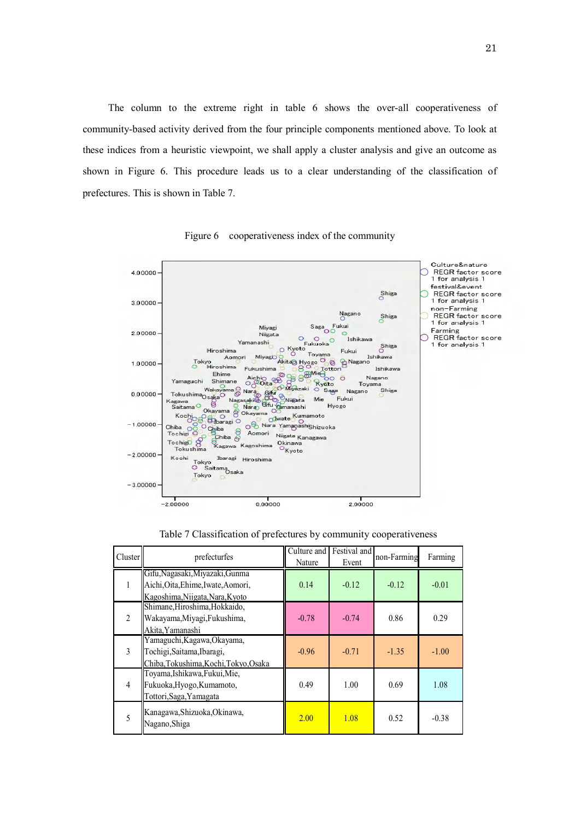The column to the extreme right in table 6 shows the over-all cooperativeness of community-based activity derived from the four principle components mentioned above. To look at these indices from a heuristic viewpoint, we shall apply a cluster analysis and give an outcome as shown in Figure 6. This procedure leads us to a clear understanding of the classification of prefectures. This is shown in Table 7.



Figure 6 cooperativeness index of the community

| Cluster        | prefecturfes                                                                                             | Culture and<br>Nature | Festival and<br>Event | non-Farming | Farming |
|----------------|----------------------------------------------------------------------------------------------------------|-----------------------|-----------------------|-------------|---------|
| 1              | Gifu, Nagasaki, Miyazaki, Gunma<br>Aichi, Oita, Ehime, Iwate, Aomori,<br>Kagoshima, Niigata, Nara, Kyoto | 0.14                  | $-0.12$               | $-0.12$     | $-0.01$ |
| $\overline{2}$ | Shimane, Hiroshima, Hokkaido,<br>Wakayama, Miyagi, Fukushima,<br>Akita. Yamanashi                        | $-0.78$               | $-0.74$               | 0.86        | 0.29    |
| 3              | Yamaguchi, Kagawa, Okayama,<br>Tochigi, Saitama, Ibaragi,<br>Chiba, Tokushima, Kochi, Tokyo, Osaka       | $-0.96$               | $-0.71$               | $-1.35$     | $-1.00$ |
| $\overline{4}$ | Toyama, Ishikawa, Fukui, Mie,<br>Fukuoka, Hyogo, Kumamoto,<br>Tottori, Saga, Yamagata                    | 0.49                  | 1.00                  | 0.69        | 1.08    |
| 5              | Kanagawa, Shizuoka, Okinawa,<br>Nagano, Shiga                                                            | 2.00                  | 1.08                  | 0.52        | $-0.38$ |

Table 7 Classification of prefectures by community cooperativeness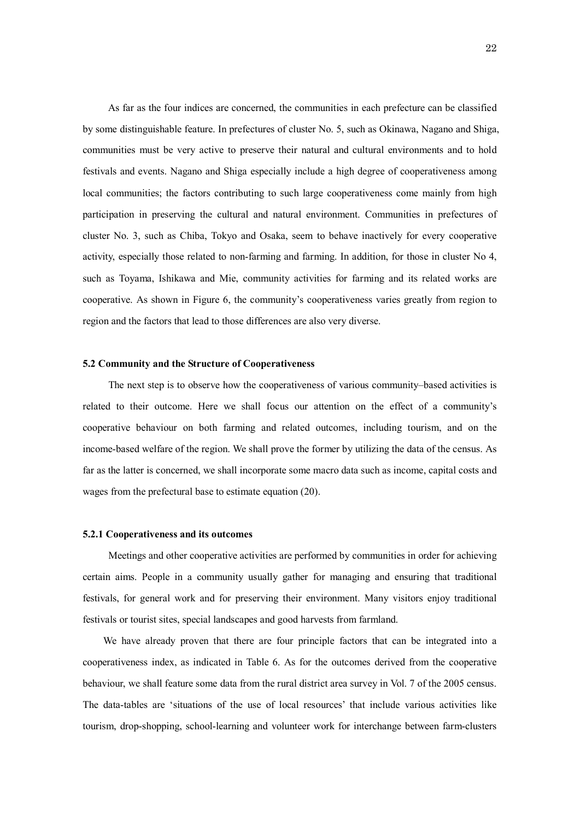As far as the four indices are concerned, the communities in each prefecture can be classified by some distinguishable feature. In prefectures of cluster No. 5, such as Okinawa, Nagano and Shiga, communities must be very active to preserve their natural and cultural environments and to hold festivals and events. Nagano and Shiga especially include a high degree of cooperativeness among local communities; the factors contributing to such large cooperativeness come mainly from high participation in preserving the cultural and natural environment. Communities in prefectures of cluster No. 3, such as Chiba, Tokyo and Osaka, seem to behave inactively for every cooperative activity, especially those related to non-farming and farming. In addition, for those in cluster No 4, such as Toyama, Ishikawa and Mie, community activities for farming and its related works are cooperative. As shown in Figure 6, the community's cooperativeness varies greatly from region to region and the factors that lead to those differences are also very diverse.

#### **5.2 Community and the Structure of Cooperativeness**

 The next step is to observe how the cooperativeness of various community–based activities is related to their outcome. Here we shall focus our attention on the effect of a community's cooperative behaviour on both farming and related outcomes, including tourism, and on the income-based welfare of the region. We shall prove the former by utilizing the data of the census. As far as the latter is concerned, we shall incorporate some macro data such as income, capital costs and wages from the prefectural base to estimate equation (20).

#### **5.2.1 Cooperativeness and its outcomes**

 Meetings and other cooperative activities are performed by communities in order for achieving certain aims. People in a community usually gather for managing and ensuring that traditional festivals, for general work and for preserving their environment. Many visitors enjoy traditional festivals or tourist sites, special landscapes and good harvests from farmland.

 We have already proven that there are four principle factors that can be integrated into a cooperativeness index, as indicated in Table 6. As for the outcomes derived from the cooperative behaviour, we shall feature some data from the rural district area survey in Vol. 7 of the 2005 census. The data-tables are 'situations of the use of local resources' that include various activities like tourism, drop-shopping, school-learning and volunteer work for interchange between farm-clusters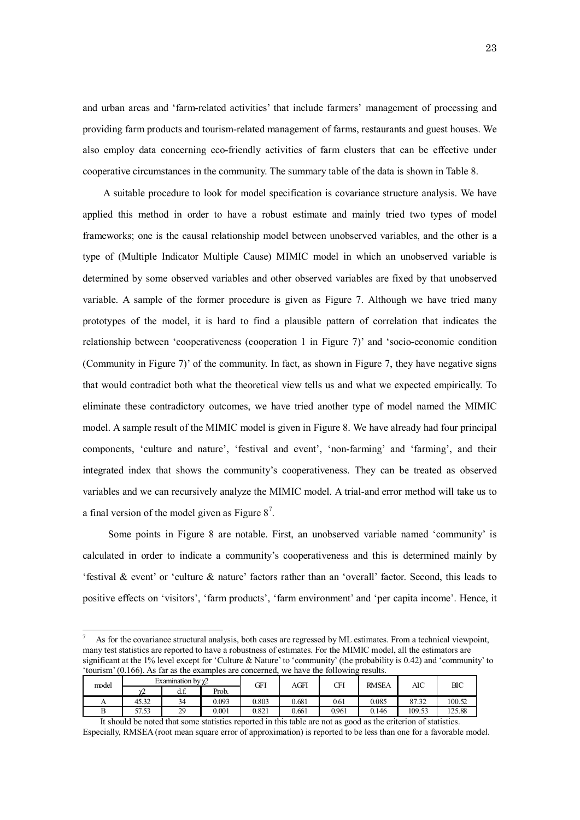and urban areas and 'farm-related activities' that include farmers' management of processing and providing farm products and tourism-related management of farms, restaurants and guest houses. We also employ data concerning eco-friendly activities of farm clusters that can be effective under cooperative circumstances in the community. The summary table of the data is shown in Table 8.

 A suitable procedure to look for model specification is covariance structure analysis. We have applied this method in order to have a robust estimate and mainly tried two types of model frameworks; one is the causal relationship model between unobserved variables, and the other is a type of (Multiple Indicator Multiple Cause) MIMIC model in which an unobserved variable is determined by some observed variables and other observed variables are fixed by that unobserved variable. A sample of the former procedure is given as Figure 7. Although we have tried many prototypes of the model, it is hard to find a plausible pattern of correlation that indicates the relationship between 'cooperativeness (cooperation 1 in Figure 7)' and 'socio-economic condition (Community in Figure 7)' of the community. In fact, as shown in Figure 7, they have negative signs that would contradict both what the theoretical view tells us and what we expected empirically. To eliminate these contradictory outcomes, we have tried another type of model named the MIMIC model. A sample result of the MIMIC model is given in Figure 8. We have already had four principal components, 'culture and nature', 'festival and event', 'non-farming' and 'farming', and their integrated index that shows the community's cooperativeness. They can be treated as observed variables and we can recursively analyze the MIMIC model. A trial-and error method will take us to a final version of the model given as Figure  $8^7$ .

Some points in Figure 8 are notable. First, an unobserved variable named 'community' is calculated in order to indicate a community's cooperativeness and this is determined mainly by 'festival & event' or 'culture & nature' factors rather than an 'overall' factor. Second, this leads to positive effects on 'visitors', 'farm products', 'farm environment' and 'per capita income'. Hence, it

7 As for the covariance structural analysis, both cases are regressed by ML estimates. From a technical viewpoint, many test statistics are reported to have a robustness of estimates. For the MIMIC model, all the estimators are significant at the 1% level except for 'Culture & Nature' to 'community' (the probability is 0.42) and 'community' to 'tourism' (0.166). As far as the examples are concerned, we have the following results.

 $\overline{a}$ 

| model          |               | Examination by $\chi$ 2 |       | GFI   | AGFI  | Œl    | <b>RMSEA</b> | AIC    | ВIС    |
|----------------|---------------|-------------------------|-------|-------|-------|-------|--------------|--------|--------|
|                | $\sim$<br>. . | $\sim$<br>u.l.          | Prob. |       |       |       |              |        |        |
| $\overline{1}$ | 45.32         | 34                      | 0.093 | 0.803 | 0.681 | 0.61  | 0.085        | 87.32  | 100.52 |
|                | 57.53         | 29                      | 0.001 | 0.821 | 0.661 | 0.961 | 0.146        | 109.53 | 125.88 |

It should be noted that some statistics reported in this table are not as good as the criterion of statistics. Especially, RMSEA (root mean square error of approximation) is reported to be less than one for a favorable model.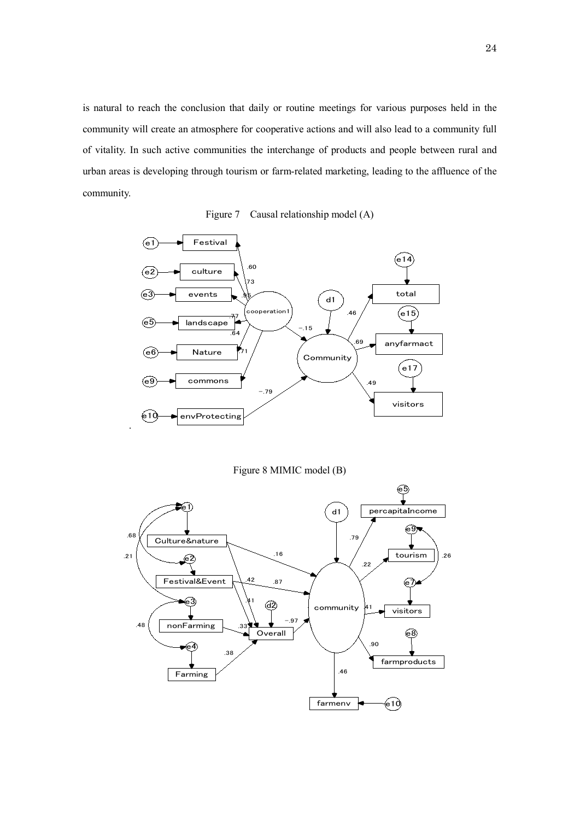is natural to reach the conclusion that daily or routine meetings for various purposes held in the community will create an atmosphere for cooperative actions and will also lead to a community full of vitality. In such active communities the interchange of products and people between rural and urban areas is developing through tourism or farm-related marketing, leading to the affluence of the community.

Figure 7 Causal relationship model (A)



Figure 8 MIMIC model (B)

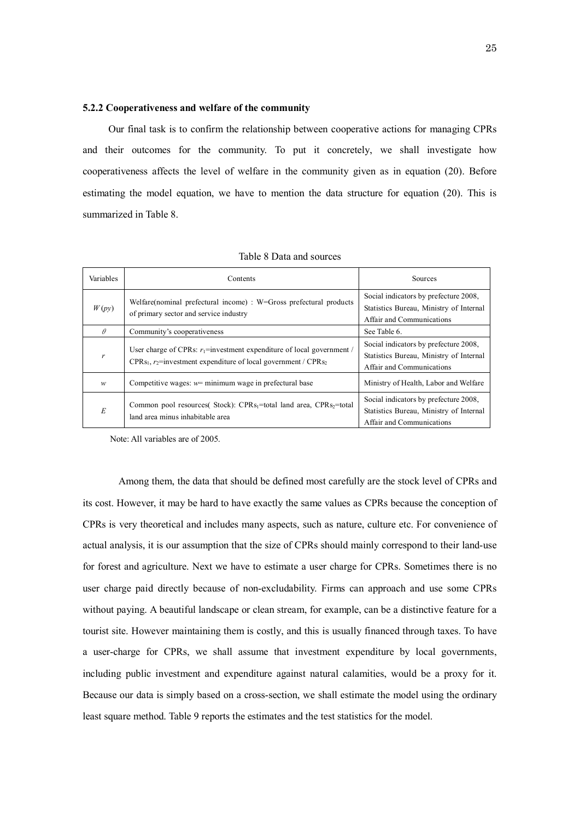#### **5.2.2 Cooperativeness and welfare of the community**

 Our final task is to confirm the relationship between cooperative actions for managing CPRs and their outcomes for the community. To put it concretely, we shall investigate how cooperativeness affects the level of welfare in the community given as in equation (20). Before estimating the model equation, we have to mention the data structure for equation (20). This is summarized in Table 8.

| Variables | Contents                                                                                                                                         | Sources                                                                                                       |
|-----------|--------------------------------------------------------------------------------------------------------------------------------------------------|---------------------------------------------------------------------------------------------------------------|
| W(py)     | Welfare (nominal prefectural income) : $W = G$ ross prefectural products<br>of primary sector and service industry                               | Social indicators by prefecture 2008,<br>Statistics Bureau, Ministry of Internal<br>Affair and Communications |
| $\theta$  | Community's cooperativeness                                                                                                                      | See Table 6.                                                                                                  |
| r         | User charge of CPRs: $r_1$ =investment expenditure of local government /<br>$CPRs_1, r_2$ =investment expenditure of local government / $CPRs_2$ | Social indicators by prefecture 2008,<br>Statistics Bureau, Ministry of Internal<br>Affair and Communications |
| W         | Competitive wages: $w=$ minimum wage in prefectural base                                                                                         | Ministry of Health, Labor and Welfare                                                                         |
| E         | Common pool resources (Stock): $CPRs_1 = total$ land area, $CPRs_2 = total$<br>land area minus inhabitable area                                  | Social indicators by prefecture 2008,<br>Statistics Bureau, Ministry of Internal<br>Affair and Communications |

| Table 8 Data and sources |  |
|--------------------------|--|
|--------------------------|--|

Note: All variables are of 2005.

Among them, the data that should be defined most carefully are the stock level of CPRs and its cost. However, it may be hard to have exactly the same values as CPRs because the conception of CPRs is very theoretical and includes many aspects, such as nature, culture etc. For convenience of actual analysis, it is our assumption that the size of CPRs should mainly correspond to their land-use for forest and agriculture. Next we have to estimate a user charge for CPRs. Sometimes there is no user charge paid directly because of non-excludability. Firms can approach and use some CPRs without paying. A beautiful landscape or clean stream, for example, can be a distinctive feature for a tourist site. However maintaining them is costly, and this is usually financed through taxes. To have a user-charge for CPRs, we shall assume that investment expenditure by local governments, including public investment and expenditure against natural calamities, would be a proxy for it. Because our data is simply based on a cross-section, we shall estimate the model using the ordinary least square method. Table 9 reports the estimates and the test statistics for the model.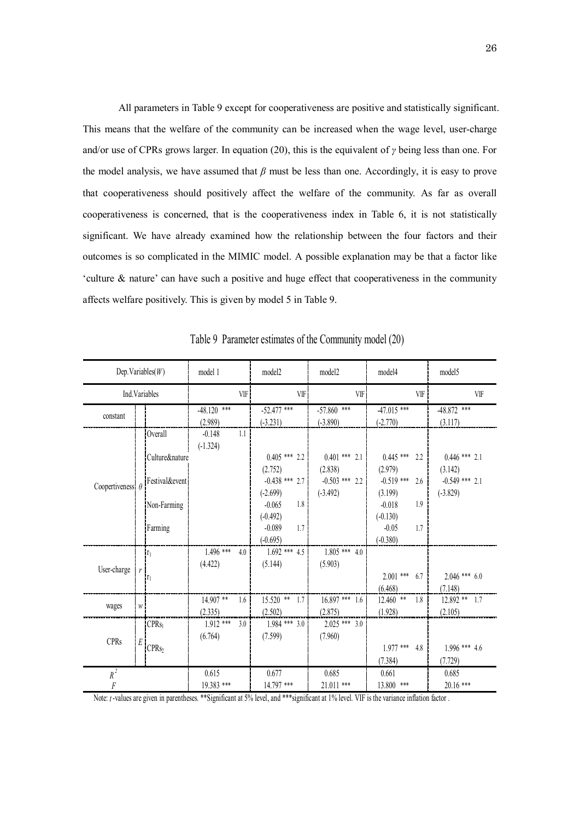All parameters in Table 9 except for cooperativeness are positive and statistically significant. This means that the welfare of the community can be increased when the wage level, user-charge and/or use of CPRs grows larger. In equation (20), this is the equivalent of *γ* being less than one. For the model analysis, we have assumed that *β* must be less than one. Accordingly, it is easy to prove that cooperativeness should positively affect the welfare of the community. As far as overall cooperativeness is concerned, that is the cooperativeness index in Table 6, it is not statistically significant. We have already examined how the relationship between the four factors and their outcomes is so complicated in the MIMIC model. A possible explanation may be that a factor like 'culture & nature' can have such a positive and huge effect that cooperativeness in the community affects welfare positively. This is given by model 5 in Table 9.

| Dep. Variables $(W)$    |   |                                          | model 1       |                  | model2           | model <sub>2</sub>                    | model4                          | model5           |
|-------------------------|---|------------------------------------------|---------------|------------------|------------------|---------------------------------------|---------------------------------|------------------|
|                         |   | Ind.Variables                            |               | VIF              | VF               | VIF                                   | VIF                             | VIF              |
| constant                |   |                                          | $-48.120$ *** |                  | $-52.477$ ***    | $-57.860$ ***                         | $-47.015$ ***                   | $-48.872$ ***    |
|                         |   |                                          | (2.989)       |                  | $(-3.231)$       | $(-3.890)$                            | $(-2.770)$                      | (3.117)          |
|                         |   | Overall                                  | $-0.148$      | 1.1 <sub>1</sub> |                  |                                       |                                 |                  |
|                         |   |                                          | $(-1.324)$    |                  |                  |                                       |                                 |                  |
|                         |   | <i><u><b>ICulture&amp;nature</b></u></i> |               |                  |                  | $0.405$ *** 2.2 $1 \t 0.401$ *** 2.1  | $0.445$ ***<br>2.2 <sub>1</sub> | $0.446$ *** 2.1  |
|                         |   |                                          |               |                  | (2.752)          | (2.838)                               | (2.979)                         | (3.142)          |
| Coopertiveness $\theta$ |   | Festival&event                           |               |                  | $-0.438$ *** 2.7 | $-0.503$ *** 2.2                      | $-0.519$ ***<br>2.6             | $-0.549$ *** 2.1 |
|                         |   |                                          |               |                  | $(-2.699)$       | $(-3.492)$                            | (3.199)                         | $(-3.829)$       |
|                         |   | Non-Farming                              |               |                  | 1.8<br>$-0.065$  |                                       | $-0.018$<br>1.9                 |                  |
|                         |   |                                          |               |                  | $(-0.492)$       |                                       | $(-0.130)$                      |                  |
|                         |   | Farming                                  |               |                  | $-0.089$<br>1.7  |                                       | $-0.05$<br>1.7                  |                  |
|                         |   |                                          |               |                  | $(-0.695)$       |                                       | $(-0.380)$                      |                  |
|                         |   | $\mathbf{r}_1$                           | $1.496$ ***   | 4.0 <sup>1</sup> |                  | $1.692$ *** $4.5$   $1.805$ *** $4.0$ |                                 |                  |
|                         |   |                                          | (4.422)       |                  | (5.144)          | (5.903)                               |                                 |                  |
| User-charge             |   | ¦r <sub>i</sub>                          |               |                  |                  |                                       | $2.001$ *** 6.7                 | $2.046$ *** 6.0  |
|                         |   |                                          |               |                  |                  |                                       | (6.468)                         | (7.148)          |
|                         |   |                                          | $14.907$ **   | 1.6 <sup>1</sup> | $15.520$ ** 1.7  | $16.897***$ 1.6                       | $12.460$ **<br>1.8              | $12.892$ ** 1.7  |
| wages                   | W |                                          | (2.335)       |                  | (2.502)          | (2.875)                               | (1.928)                         | (2.105)          |
|                         |   | CPRs <sub>1</sub>                        | $1.912$ ***   | 3.0 <sup>1</sup> | $1.984$ *** 3.0  | $2.025$ *** 3.0                       |                                 |                  |
|                         |   |                                          | (6.764)       |                  | (7.599)          | (7.960)                               |                                 |                  |
| <b>CPRs</b>             | E | CPRs <sub>2</sub>                        |               |                  |                  |                                       | $1.977$ ***<br>4.8              | $1.996$ *** 4.6  |
|                         |   |                                          |               |                  |                  |                                       | (7.384)                         | (7.729)          |
| $R^2$                   |   |                                          | 0.615         |                  | 0.677            | 0.685                                 | 0.661                           | 0.685            |
| F                       |   |                                          | 19.383 ***    |                  | 14.797 ***       | 21.011 ***                            | 13.800 ***                      | $20.16$ ***      |

Table 9 Parameter estimates of the Community model (20)

Note: *t*-values are given in parentheses. \*\*Significant at 5% level, and \*\*\*significant at 1% level. VIF is the variance inflation factor.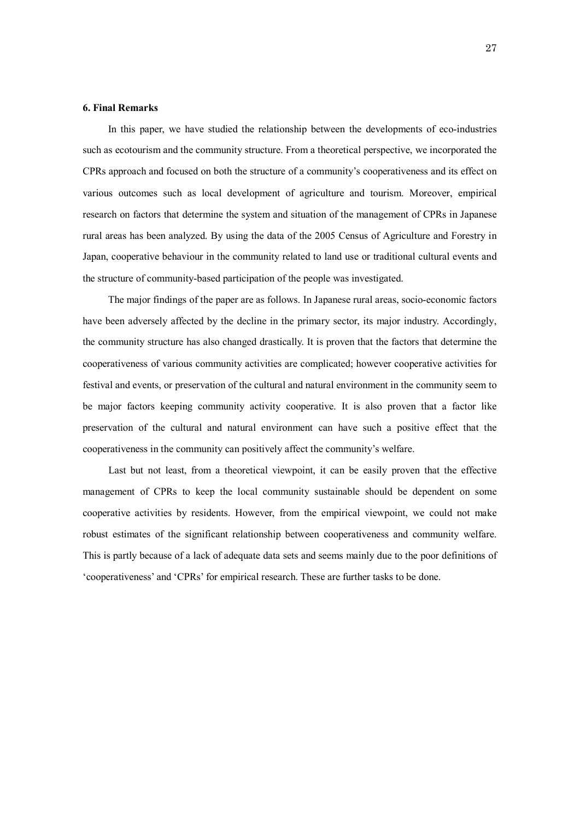# **6. Final Remarks**

In this paper, we have studied the relationship between the developments of eco-industries such as ecotourism and the community structure. From a theoretical perspective, we incorporated the CPRs approach and focused on both the structure of a community's cooperativeness and its effect on various outcomes such as local development of agriculture and tourism. Moreover, empirical research on factors that determine the system and situation of the management of CPRs in Japanese rural areas has been analyzed. By using the data of the 2005 Census of Agriculture and Forestry in Japan, cooperative behaviour in the community related to land use or traditional cultural events and the structure of community-based participation of the people was investigated.

The major findings of the paper are as follows. In Japanese rural areas, socio-economic factors have been adversely affected by the decline in the primary sector, its major industry. Accordingly, the community structure has also changed drastically. It is proven that the factors that determine the cooperativeness of various community activities are complicated; however cooperative activities for festival and events, or preservation of the cultural and natural environment in the community seem to be major factors keeping community activity cooperative. It is also proven that a factor like preservation of the cultural and natural environment can have such a positive effect that the cooperativeness in the community can positively affect the community's welfare.

 Last but not least, from a theoretical viewpoint, it can be easily proven that the effective management of CPRs to keep the local community sustainable should be dependent on some cooperative activities by residents. However, from the empirical viewpoint, we could not make robust estimates of the significant relationship between cooperativeness and community welfare. This is partly because of a lack of adequate data sets and seems mainly due to the poor definitions of 'cooperativeness' and 'CPRs' for empirical research. These are further tasks to be done.